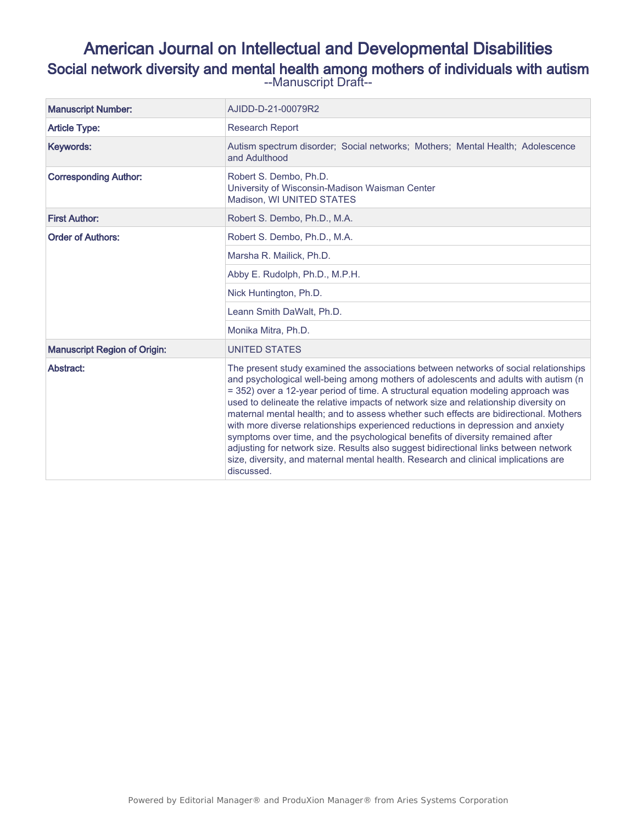# American Journal on Intellectual and Developmental Disabilities Social network diversity and mental health among mothers of individuals with autism --Manuscript Draft--

| <b>Manuscript Number:</b>           | AJIDD-D-21-00079R2                                                                                                                                                                                                                                                                                                                                                                                                                                                                                                                                                                                                                                                                                                                                                                                                   |
|-------------------------------------|----------------------------------------------------------------------------------------------------------------------------------------------------------------------------------------------------------------------------------------------------------------------------------------------------------------------------------------------------------------------------------------------------------------------------------------------------------------------------------------------------------------------------------------------------------------------------------------------------------------------------------------------------------------------------------------------------------------------------------------------------------------------------------------------------------------------|
| <b>Article Type:</b>                | <b>Research Report</b>                                                                                                                                                                                                                                                                                                                                                                                                                                                                                                                                                                                                                                                                                                                                                                                               |
| Keywords:                           | Autism spectrum disorder: Social networks: Mothers: Mental Health: Adolescence<br>and Adulthood                                                                                                                                                                                                                                                                                                                                                                                                                                                                                                                                                                                                                                                                                                                      |
| <b>Corresponding Author:</b>        | Robert S. Dembo, Ph.D.<br>University of Wisconsin-Madison Waisman Center<br>Madison. WI UNITED STATES                                                                                                                                                                                                                                                                                                                                                                                                                                                                                                                                                                                                                                                                                                                |
| <b>First Author:</b>                | Robert S. Dembo, Ph.D., M.A.                                                                                                                                                                                                                                                                                                                                                                                                                                                                                                                                                                                                                                                                                                                                                                                         |
| <b>Order of Authors:</b>            | Robert S. Dembo, Ph.D., M.A.                                                                                                                                                                                                                                                                                                                                                                                                                                                                                                                                                                                                                                                                                                                                                                                         |
|                                     | Marsha R. Mailick, Ph.D.                                                                                                                                                                                                                                                                                                                                                                                                                                                                                                                                                                                                                                                                                                                                                                                             |
|                                     | Abby E. Rudolph, Ph.D., M.P.H.                                                                                                                                                                                                                                                                                                                                                                                                                                                                                                                                                                                                                                                                                                                                                                                       |
|                                     | Nick Huntington, Ph.D.                                                                                                                                                                                                                                                                                                                                                                                                                                                                                                                                                                                                                                                                                                                                                                                               |
|                                     | Leann Smith DaWalt, Ph.D.                                                                                                                                                                                                                                                                                                                                                                                                                                                                                                                                                                                                                                                                                                                                                                                            |
|                                     | Monika Mitra, Ph.D.                                                                                                                                                                                                                                                                                                                                                                                                                                                                                                                                                                                                                                                                                                                                                                                                  |
| <b>Manuscript Region of Origin:</b> | <b>UNITED STATES</b>                                                                                                                                                                                                                                                                                                                                                                                                                                                                                                                                                                                                                                                                                                                                                                                                 |
| Abstract:                           | The present study examined the associations between networks of social relationships<br>and psychological well-being among mothers of adolescents and adults with autism (n<br>= 352) over a 12-year period of time. A structural equation modeling approach was<br>used to delineate the relative impacts of network size and relationship diversity on<br>maternal mental health; and to assess whether such effects are bidirectional. Mothers<br>with more diverse relationships experienced reductions in depression and anxiety<br>symptoms over time, and the psychological benefits of diversity remained after<br>adjusting for network size. Results also suggest bidirectional links between network<br>size, diversity, and maternal mental health. Research and clinical implications are<br>discussed. |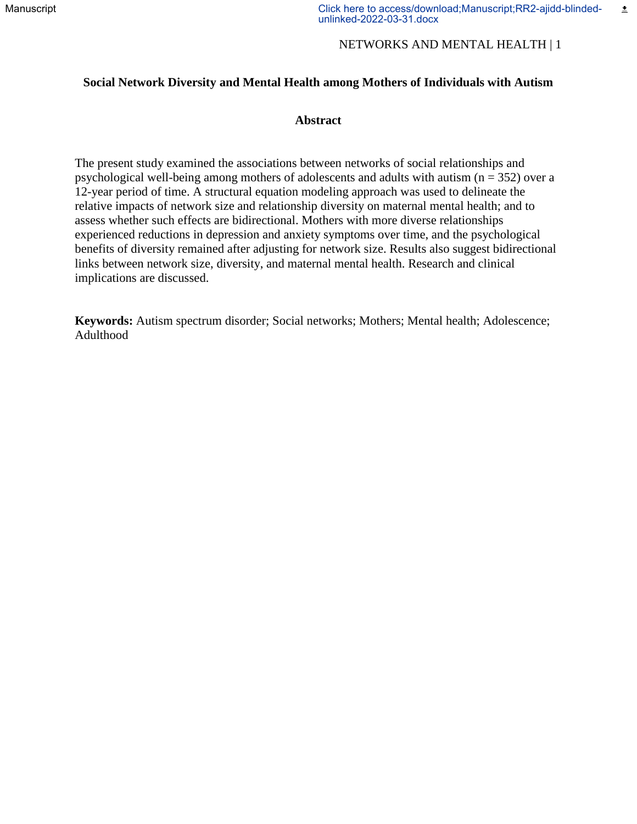## NETWORKS AND MENTAL HEALTH | 1

## **Social Network Diversity and Mental Health among Mothers of Individuals with Autism**

## **Abstract**

The present study examined the associations between networks of social relationships and psychological well-being among mothers of adolescents and adults with autism ( $n = 352$ ) over a 12-year period of time. A structural equation modeling approach was used to delineate the relative impacts of network size and relationship diversity on maternal mental health; and to assess whether such effects are bidirectional. Mothers with more diverse relationships experienced reductions in depression and anxiety symptoms over time, and the psychological benefits of diversity remained after adjusting for network size. Results also suggest bidirectional links between network size, diversity, and maternal mental health. Research and clinical implications are discussed.

**Keywords:** Autism spectrum disorder; Social networks; Mothers; Mental health; Adolescence; Adulthood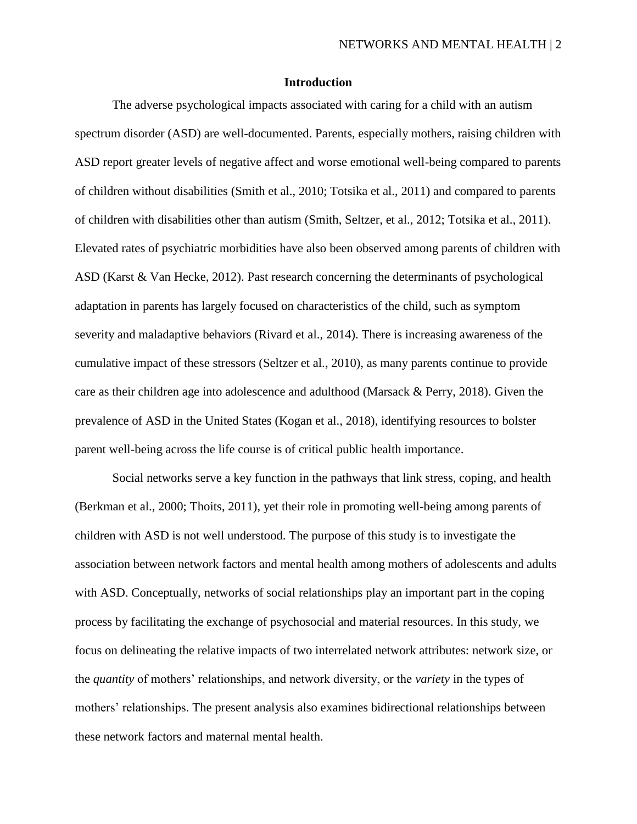## **Introduction**

The adverse psychological impacts associated with caring for a child with an autism spectrum disorder (ASD) are well-documented. Parents, especially mothers, raising children with ASD report greater levels of negative affect and worse emotional well-being compared to parents of children without disabilities (Smith et al., 2010; Totsika et al., 2011) and compared to parents of children with disabilities other than autism (Smith, Seltzer, et al., 2012; Totsika et al., 2011). Elevated rates of psychiatric morbidities have also been observed among parents of children with ASD (Karst & Van Hecke, 2012). Past research concerning the determinants of psychological adaptation in parents has largely focused on characteristics of the child, such as symptom severity and maladaptive behaviors (Rivard et al., 2014). There is increasing awareness of the cumulative impact of these stressors (Seltzer et al., 2010), as many parents continue to provide care as their children age into adolescence and adulthood (Marsack & Perry, 2018). Given the prevalence of ASD in the United States (Kogan et al., 2018), identifying resources to bolster parent well-being across the life course is of critical public health importance.

Social networks serve a key function in the pathways that link stress, coping, and health (Berkman et al., 2000; Thoits, 2011), yet their role in promoting well-being among parents of children with ASD is not well understood. The purpose of this study is to investigate the association between network factors and mental health among mothers of adolescents and adults with ASD. Conceptually, networks of social relationships play an important part in the coping process by facilitating the exchange of psychosocial and material resources. In this study, we focus on delineating the relative impacts of two interrelated network attributes: network size, or the *quantity* of mothers' relationships, and network diversity, or the *variety* in the types of mothers' relationships. The present analysis also examines bidirectional relationships between these network factors and maternal mental health.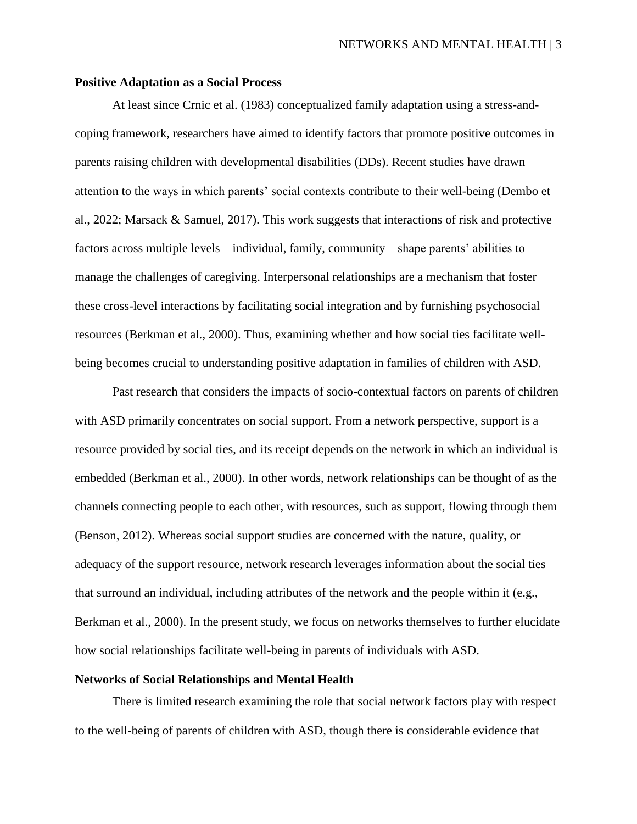#### **Positive Adaptation as a Social Process**

At least since Crnic et al. (1983) conceptualized family adaptation using a stress-andcoping framework, researchers have aimed to identify factors that promote positive outcomes in parents raising children with developmental disabilities (DDs). Recent studies have drawn attention to the ways in which parents' social contexts contribute to their well-being (Dembo et al., 2022; Marsack & Samuel, 2017). This work suggests that interactions of risk and protective factors across multiple levels – individual, family, community – shape parents' abilities to manage the challenges of caregiving. Interpersonal relationships are a mechanism that foster these cross-level interactions by facilitating social integration and by furnishing psychosocial resources (Berkman et al., 2000). Thus, examining whether and how social ties facilitate wellbeing becomes crucial to understanding positive adaptation in families of children with ASD.

Past research that considers the impacts of socio-contextual factors on parents of children with ASD primarily concentrates on social support. From a network perspective, support is a resource provided by social ties, and its receipt depends on the network in which an individual is embedded (Berkman et al., 2000). In other words, network relationships can be thought of as the channels connecting people to each other, with resources, such as support, flowing through them (Benson, 2012). Whereas social support studies are concerned with the nature, quality, or adequacy of the support resource, network research leverages information about the social ties that surround an individual, including attributes of the network and the people within it (e.g., Berkman et al., 2000). In the present study, we focus on networks themselves to further elucidate how social relationships facilitate well-being in parents of individuals with ASD.

#### **Networks of Social Relationships and Mental Health**

There is limited research examining the role that social network factors play with respect to the well-being of parents of children with ASD, though there is considerable evidence that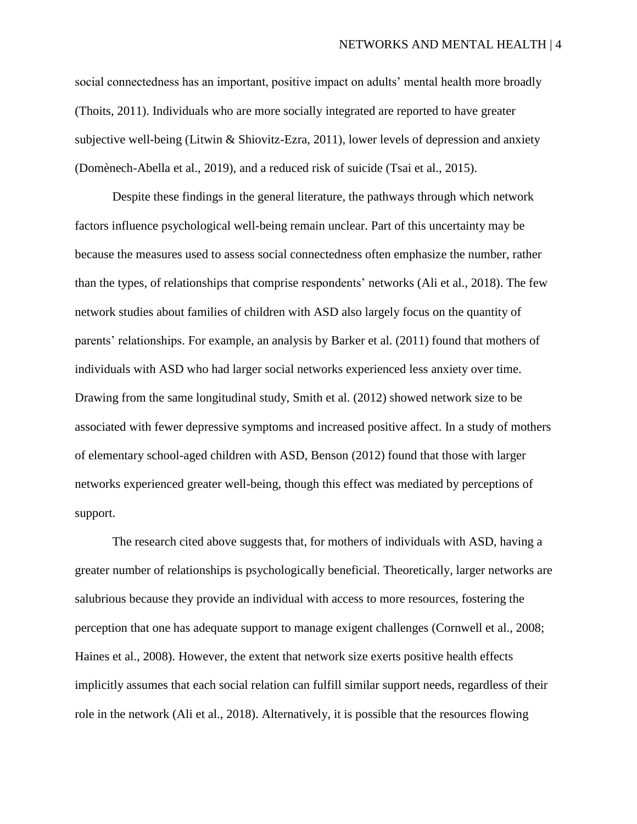social connectedness has an important, positive impact on adults' mental health more broadly (Thoits, 2011). Individuals who are more socially integrated are reported to have greater subjective well-being (Litwin & Shiovitz-Ezra, 2011), lower levels of depression and anxiety (Domènech-Abella et al., 2019), and a reduced risk of suicide (Tsai et al., 2015).

Despite these findings in the general literature, the pathways through which network factors influence psychological well-being remain unclear. Part of this uncertainty may be because the measures used to assess social connectedness often emphasize the number, rather than the types, of relationships that comprise respondents' networks (Ali et al., 2018). The few network studies about families of children with ASD also largely focus on the quantity of parents' relationships. For example, an analysis by Barker et al. (2011) found that mothers of individuals with ASD who had larger social networks experienced less anxiety over time. Drawing from the same longitudinal study, Smith et al. (2012) showed network size to be associated with fewer depressive symptoms and increased positive affect. In a study of mothers of elementary school-aged children with ASD, Benson (2012) found that those with larger networks experienced greater well-being, though this effect was mediated by perceptions of support.

The research cited above suggests that, for mothers of individuals with ASD, having a greater number of relationships is psychologically beneficial. Theoretically, larger networks are salubrious because they provide an individual with access to more resources, fostering the perception that one has adequate support to manage exigent challenges (Cornwell et al., 2008; Haines et al., 2008). However, the extent that network size exerts positive health effects implicitly assumes that each social relation can fulfill similar support needs, regardless of their role in the network (Ali et al., 2018). Alternatively, it is possible that the resources flowing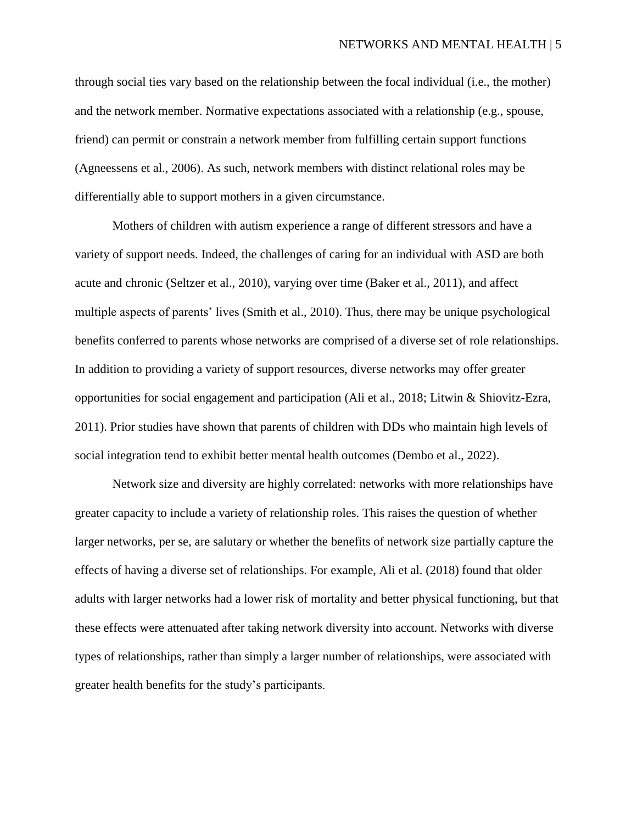through social ties vary based on the relationship between the focal individual (i.e., the mother) and the network member. Normative expectations associated with a relationship (e.g., spouse, friend) can permit or constrain a network member from fulfilling certain support functions (Agneessens et al., 2006). As such, network members with distinct relational roles may be differentially able to support mothers in a given circumstance.

Mothers of children with autism experience a range of different stressors and have a variety of support needs. Indeed, the challenges of caring for an individual with ASD are both acute and chronic (Seltzer et al., 2010), varying over time (Baker et al., 2011), and affect multiple aspects of parents' lives (Smith et al., 2010). Thus, there may be unique psychological benefits conferred to parents whose networks are comprised of a diverse set of role relationships. In addition to providing a variety of support resources, diverse networks may offer greater opportunities for social engagement and participation (Ali et al., 2018; Litwin & Shiovitz-Ezra, 2011). Prior studies have shown that parents of children with DDs who maintain high levels of social integration tend to exhibit better mental health outcomes (Dembo et al., 2022).

Network size and diversity are highly correlated: networks with more relationships have greater capacity to include a variety of relationship roles. This raises the question of whether larger networks, per se, are salutary or whether the benefits of network size partially capture the effects of having a diverse set of relationships. For example, Ali et al. (2018) found that older adults with larger networks had a lower risk of mortality and better physical functioning, but that these effects were attenuated after taking network diversity into account. Networks with diverse types of relationships, rather than simply a larger number of relationships, were associated with greater health benefits for the study's participants.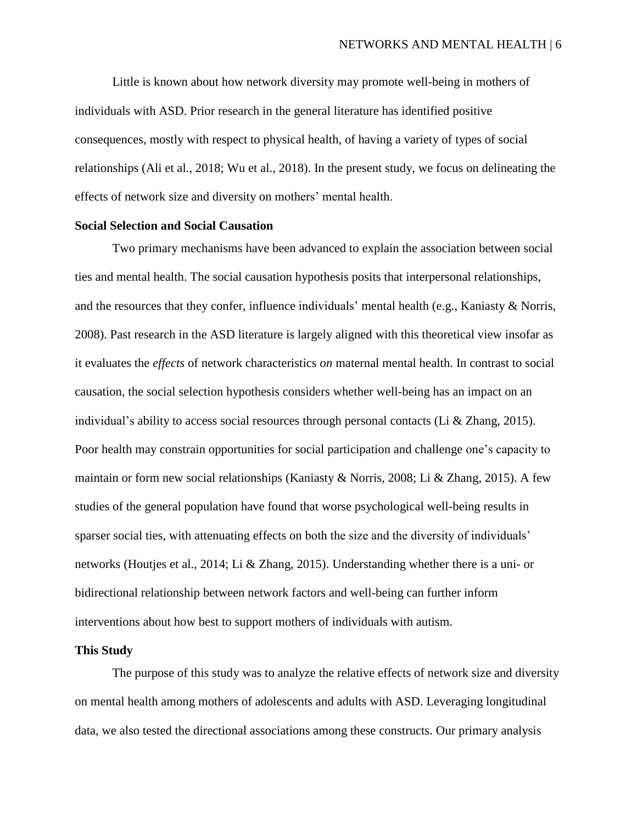Little is known about how network diversity may promote well-being in mothers of individuals with ASD. Prior research in the general literature has identified positive consequences, mostly with respect to physical health, of having a variety of types of social relationships (Ali et al., 2018; Wu et al., 2018). In the present study, we focus on delineating the effects of network size and diversity on mothers' mental health.

#### **Social Selection and Social Causation**

Two primary mechanisms have been advanced to explain the association between social ties and mental health. The social causation hypothesis posits that interpersonal relationships, and the resources that they confer, influence individuals' mental health (e.g., Kaniasty & Norris, 2008). Past research in the ASD literature is largely aligned with this theoretical view insofar as it evaluates the *effects* of network characteristics *on* maternal mental health. In contrast to social causation, the social selection hypothesis considers whether well-being has an impact on an individual's ability to access social resources through personal contacts (Li & Zhang, 2015). Poor health may constrain opportunities for social participation and challenge one's capacity to maintain or form new social relationships (Kaniasty & Norris, 2008; Li & Zhang, 2015). A few studies of the general population have found that worse psychological well-being results in sparser social ties, with attenuating effects on both the size and the diversity of individuals' networks (Houtjes et al., 2014; Li & Zhang, 2015). Understanding whether there is a uni- or bidirectional relationship between network factors and well-being can further inform interventions about how best to support mothers of individuals with autism.

#### **This Study**

The purpose of this study was to analyze the relative effects of network size and diversity on mental health among mothers of adolescents and adults with ASD. Leveraging longitudinal data, we also tested the directional associations among these constructs. Our primary analysis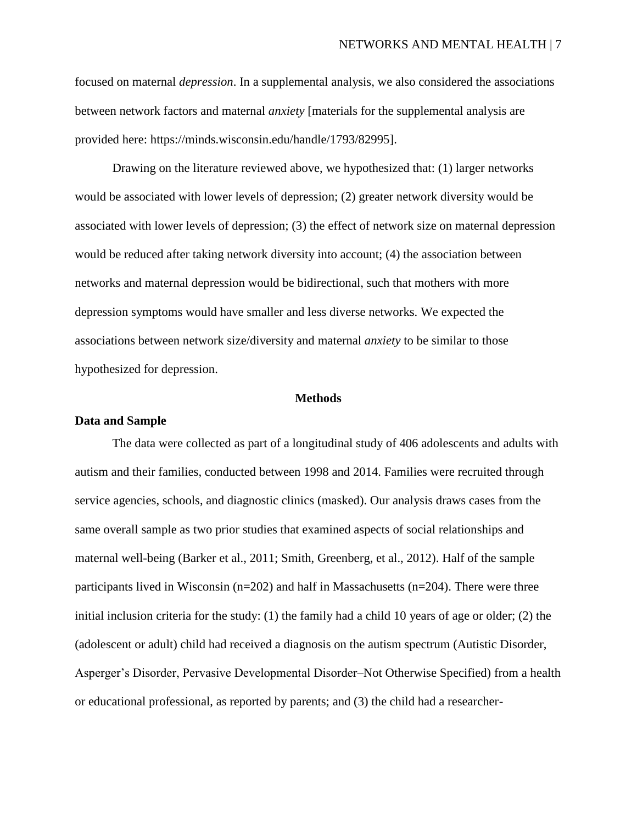focused on maternal *depression*. In a supplemental analysis, we also considered the associations between network factors and maternal *anxiety* [materials for the supplemental analysis are provided here: https://minds.wisconsin.edu/handle/1793/82995].

Drawing on the literature reviewed above, we hypothesized that: (1) larger networks would be associated with lower levels of depression; (2) greater network diversity would be associated with lower levels of depression; (3) the effect of network size on maternal depression would be reduced after taking network diversity into account; (4) the association between networks and maternal depression would be bidirectional, such that mothers with more depression symptoms would have smaller and less diverse networks. We expected the associations between network size/diversity and maternal *anxiety* to be similar to those hypothesized for depression.

#### **Methods**

#### **Data and Sample**

The data were collected as part of a longitudinal study of 406 adolescents and adults with autism and their families, conducted between 1998 and 2014. Families were recruited through service agencies, schools, and diagnostic clinics (masked). Our analysis draws cases from the same overall sample as two prior studies that examined aspects of social relationships and maternal well-being (Barker et al., 2011; Smith, Greenberg, et al., 2012). Half of the sample participants lived in Wisconsin ( $n=202$ ) and half in Massachusetts ( $n=204$ ). There were three initial inclusion criteria for the study: (1) the family had a child 10 years of age or older; (2) the (adolescent or adult) child had received a diagnosis on the autism spectrum (Autistic Disorder, Asperger's Disorder, Pervasive Developmental Disorder–Not Otherwise Specified) from a health or educational professional, as reported by parents; and (3) the child had a researcher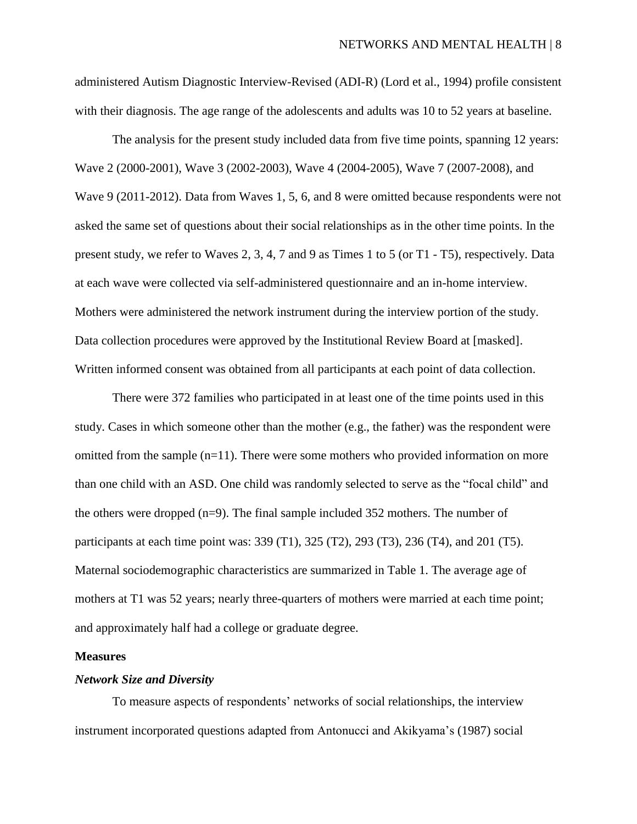administered Autism Diagnostic Interview-Revised (ADI-R) (Lord et al., 1994) profile consistent with their diagnosis. The age range of the adolescents and adults was 10 to 52 years at baseline.

The analysis for the present study included data from five time points, spanning 12 years: Wave 2 (2000-2001), Wave 3 (2002-2003), Wave 4 (2004-2005), Wave 7 (2007-2008), and Wave 9 (2011-2012). Data from Waves 1, 5, 6, and 8 were omitted because respondents were not asked the same set of questions about their social relationships as in the other time points. In the present study, we refer to Waves 2, 3, 4, 7 and 9 as Times 1 to 5 (or T1 - T5), respectively. Data at each wave were collected via self-administered questionnaire and an in-home interview. Mothers were administered the network instrument during the interview portion of the study. Data collection procedures were approved by the Institutional Review Board at [masked]. Written informed consent was obtained from all participants at each point of data collection.

There were 372 families who participated in at least one of the time points used in this study. Cases in which someone other than the mother (e.g., the father) was the respondent were omitted from the sample  $(n=11)$ . There were some mothers who provided information on more than one child with an ASD. One child was randomly selected to serve as the "focal child" and the others were dropped (n=9). The final sample included 352 mothers. The number of participants at each time point was: 339 (T1), 325 (T2), 293 (T3), 236 (T4), and 201 (T5). Maternal sociodemographic characteristics are summarized in Table 1. The average age of mothers at T1 was 52 years; nearly three-quarters of mothers were married at each time point; and approximately half had a college or graduate degree.

#### **Measures**

#### *Network Size and Diversity*

To measure aspects of respondents' networks of social relationships, the interview instrument incorporated questions adapted from Antonucci and Akikyama's (1987) social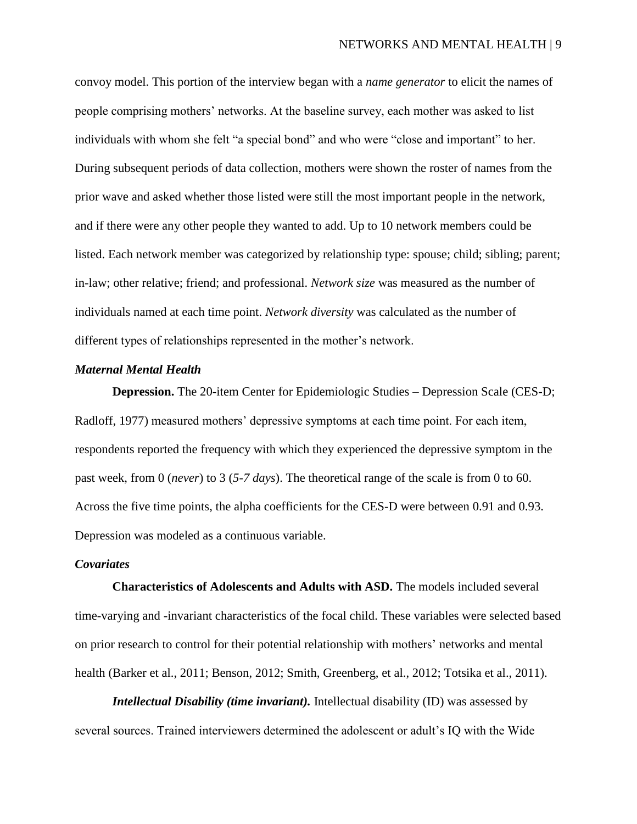convoy model. This portion of the interview began with a *name generator* to elicit the names of people comprising mothers' networks. At the baseline survey, each mother was asked to list individuals with whom she felt "a special bond" and who were "close and important" to her. During subsequent periods of data collection, mothers were shown the roster of names from the prior wave and asked whether those listed were still the most important people in the network, and if there were any other people they wanted to add. Up to 10 network members could be listed. Each network member was categorized by relationship type: spouse; child; sibling; parent; in-law; other relative; friend; and professional. *Network size* was measured as the number of individuals named at each time point. *Network diversity* was calculated as the number of different types of relationships represented in the mother's network.

#### *Maternal Mental Health*

**Depression.** The 20-item Center for Epidemiologic Studies – Depression Scale (CES-D; Radloff, 1977) measured mothers' depressive symptoms at each time point. For each item, respondents reported the frequency with which they experienced the depressive symptom in the past week, from 0 (*never*) to 3 (*5-7 days*). The theoretical range of the scale is from 0 to 60. Across the five time points, the alpha coefficients for the CES-D were between 0.91 and 0.93. Depression was modeled as a continuous variable.

#### *Covariates*

**Characteristics of Adolescents and Adults with ASD.** The models included several time-varying and -invariant characteristics of the focal child. These variables were selected based on prior research to control for their potential relationship with mothers' networks and mental health (Barker et al., 2011; Benson, 2012; Smith, Greenberg, et al., 2012; Totsika et al., 2011).

*Intellectual Disability (time invariant).* Intellectual disability (ID) was assessed by several sources. Trained interviewers determined the adolescent or adult's IQ with the Wide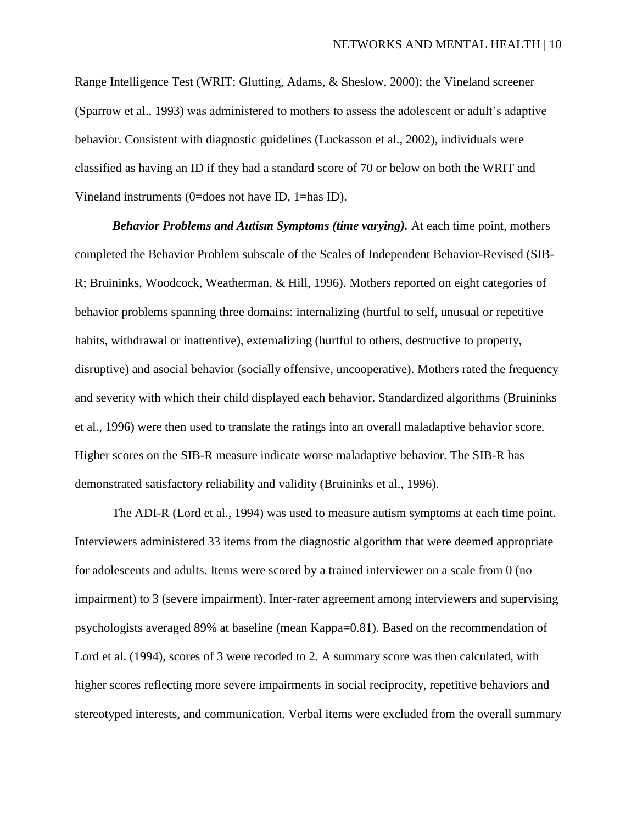Range Intelligence Test (WRIT; Glutting, Adams, & Sheslow, 2000); the Vineland screener (Sparrow et al., 1993) was administered to mothers to assess the adolescent or adult's adaptive behavior. Consistent with diagnostic guidelines (Luckasson et al., 2002), individuals were classified as having an ID if they had a standard score of 70 or below on both the WRIT and Vineland instruments (0=does not have ID, 1=has ID).

*Behavior Problems and Autism Symptoms (time varying).* At each time point, mothers completed the Behavior Problem subscale of the Scales of Independent Behavior-Revised (SIB-R; Bruininks, Woodcock, Weatherman, & Hill, 1996). Mothers reported on eight categories of behavior problems spanning three domains: internalizing (hurtful to self, unusual or repetitive habits, withdrawal or inattentive), externalizing (hurtful to others, destructive to property, disruptive) and asocial behavior (socially offensive, uncooperative). Mothers rated the frequency and severity with which their child displayed each behavior. Standardized algorithms (Bruininks et al., 1996) were then used to translate the ratings into an overall maladaptive behavior score. Higher scores on the SIB-R measure indicate worse maladaptive behavior. The SIB-R has demonstrated satisfactory reliability and validity (Bruininks et al., 1996).

The ADI-R (Lord et al., 1994) was used to measure autism symptoms at each time point. Interviewers administered 33 items from the diagnostic algorithm that were deemed appropriate for adolescents and adults. Items were scored by a trained interviewer on a scale from 0 (no impairment) to 3 (severe impairment). Inter-rater agreement among interviewers and supervising psychologists averaged 89% at baseline (mean Kappa=0.81). Based on the recommendation of Lord et al. (1994), scores of 3 were recoded to 2. A summary score was then calculated, with higher scores reflecting more severe impairments in social reciprocity, repetitive behaviors and stereotyped interests, and communication. Verbal items were excluded from the overall summary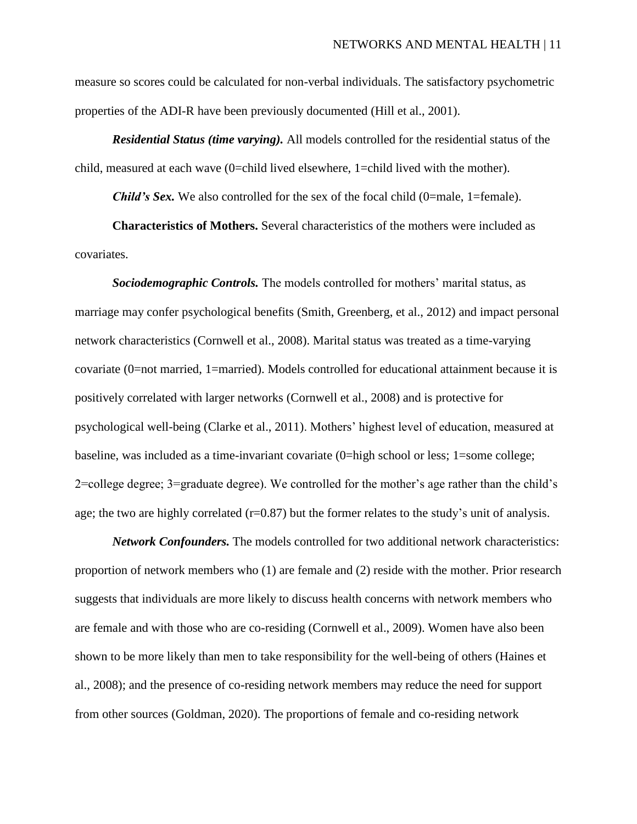measure so scores could be calculated for non-verbal individuals. The satisfactory psychometric properties of the ADI-R have been previously documented (Hill et al., 2001).

*Residential Status (time varying).* All models controlled for the residential status of the child, measured at each wave (0=child lived elsewhere, 1=child lived with the mother).

*Child's Sex.* We also controlled for the sex of the focal child (0=male, 1=female).

**Characteristics of Mothers.** Several characteristics of the mothers were included as covariates.

*Sociodemographic Controls.* The models controlled for mothers' marital status, as marriage may confer psychological benefits (Smith, Greenberg, et al., 2012) and impact personal network characteristics (Cornwell et al., 2008). Marital status was treated as a time-varying covariate (0=not married, 1=married). Models controlled for educational attainment because it is positively correlated with larger networks (Cornwell et al., 2008) and is protective for psychological well-being (Clarke et al., 2011). Mothers' highest level of education, measured at baseline, was included as a time-invariant covariate (0=high school or less; 1=some college; 2=college degree; 3=graduate degree). We controlled for the mother's age rather than the child's age; the two are highly correlated (r=0.87) but the former relates to the study's unit of analysis.

*Network Confounders.* The models controlled for two additional network characteristics: proportion of network members who (1) are female and (2) reside with the mother. Prior research suggests that individuals are more likely to discuss health concerns with network members who are female and with those who are co-residing (Cornwell et al., 2009). Women have also been shown to be more likely than men to take responsibility for the well-being of others (Haines et al., 2008); and the presence of co-residing network members may reduce the need for support from other sources (Goldman, 2020). The proportions of female and co-residing network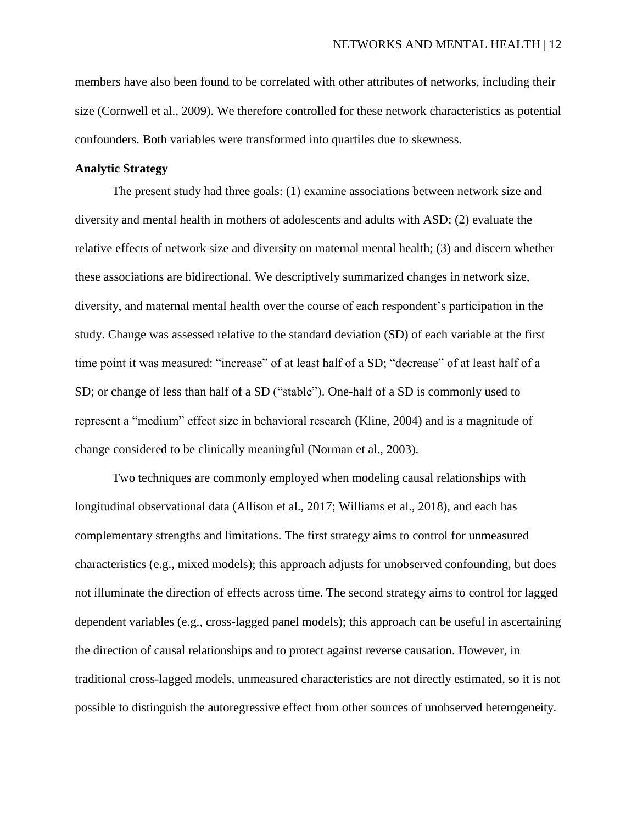members have also been found to be correlated with other attributes of networks, including their size (Cornwell et al., 2009). We therefore controlled for these network characteristics as potential confounders. Both variables were transformed into quartiles due to skewness.

## **Analytic Strategy**

The present study had three goals: (1) examine associations between network size and diversity and mental health in mothers of adolescents and adults with ASD; (2) evaluate the relative effects of network size and diversity on maternal mental health; (3) and discern whether these associations are bidirectional. We descriptively summarized changes in network size, diversity, and maternal mental health over the course of each respondent's participation in the study. Change was assessed relative to the standard deviation (SD) of each variable at the first time point it was measured: "increase" of at least half of a SD; "decrease" of at least half of a SD; or change of less than half of a SD ("stable"). One-half of a SD is commonly used to represent a "medium" effect size in behavioral research (Kline, 2004) and is a magnitude of change considered to be clinically meaningful (Norman et al., 2003).

Two techniques are commonly employed when modeling causal relationships with longitudinal observational data (Allison et al., 2017; Williams et al., 2018), and each has complementary strengths and limitations. The first strategy aims to control for unmeasured characteristics (e.g., mixed models); this approach adjusts for unobserved confounding, but does not illuminate the direction of effects across time. The second strategy aims to control for lagged dependent variables (e.g., cross-lagged panel models); this approach can be useful in ascertaining the direction of causal relationships and to protect against reverse causation. However, in traditional cross-lagged models, unmeasured characteristics are not directly estimated, so it is not possible to distinguish the autoregressive effect from other sources of unobserved heterogeneity.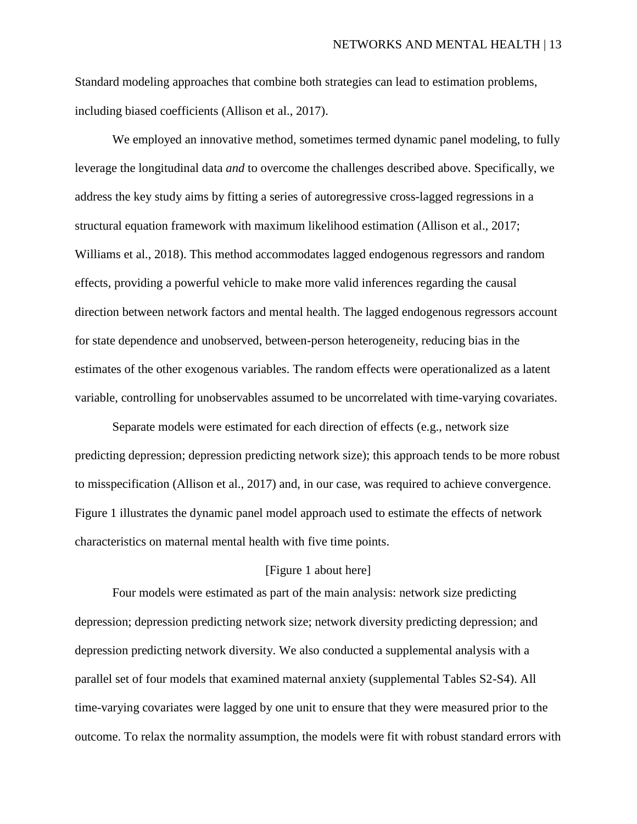Standard modeling approaches that combine both strategies can lead to estimation problems, including biased coefficients (Allison et al., 2017).

We employed an innovative method, sometimes termed dynamic panel modeling, to fully leverage the longitudinal data *and* to overcome the challenges described above. Specifically, we address the key study aims by fitting a series of autoregressive cross-lagged regressions in a structural equation framework with maximum likelihood estimation (Allison et al., 2017; Williams et al., 2018). This method accommodates lagged endogenous regressors and random effects, providing a powerful vehicle to make more valid inferences regarding the causal direction between network factors and mental health. The lagged endogenous regressors account for state dependence and unobserved, between-person heterogeneity, reducing bias in the estimates of the other exogenous variables. The random effects were operationalized as a latent variable, controlling for unobservables assumed to be uncorrelated with time-varying covariates.

Separate models were estimated for each direction of effects (e.g., network size predicting depression; depression predicting network size); this approach tends to be more robust to misspecification (Allison et al., 2017) and, in our case, was required to achieve convergence. Figure 1 illustrates the dynamic panel model approach used to estimate the effects of network characteristics on maternal mental health with five time points.

## [Figure 1 about here]

Four models were estimated as part of the main analysis: network size predicting depression; depression predicting network size; network diversity predicting depression; and depression predicting network diversity. We also conducted a supplemental analysis with a parallel set of four models that examined maternal anxiety (supplemental Tables S2-S4). All time-varying covariates were lagged by one unit to ensure that they were measured prior to the outcome. To relax the normality assumption, the models were fit with robust standard errors with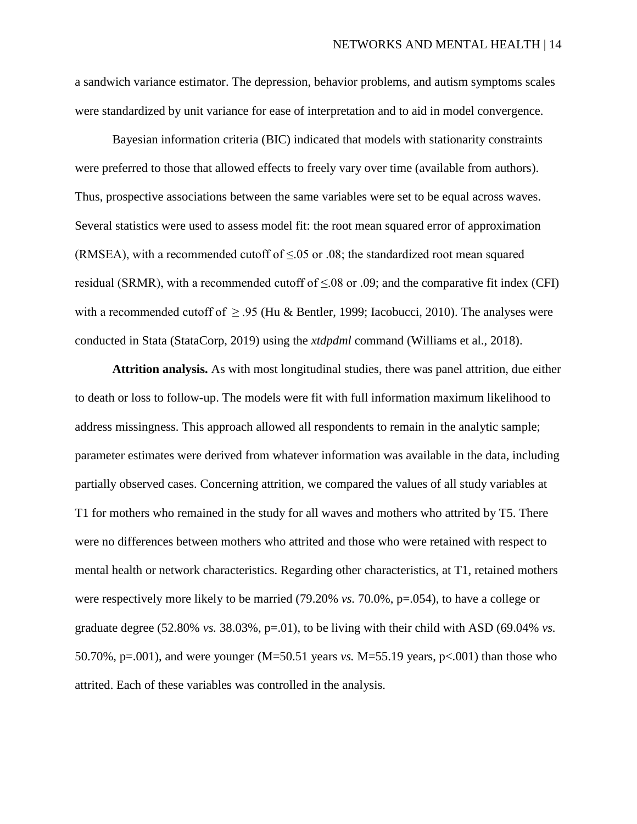a sandwich variance estimator. The depression, behavior problems, and autism symptoms scales were standardized by unit variance for ease of interpretation and to aid in model convergence.

Bayesian information criteria (BIC) indicated that models with stationarity constraints were preferred to those that allowed effects to freely vary over time (available from authors). Thus, prospective associations between the same variables were set to be equal across waves. Several statistics were used to assess model fit: the root mean squared error of approximation (RMSEA), with a recommended cutoff of  $\leq 0.05$  or .08; the standardized root mean squared residual (SRMR), with a recommended cutoff of  $\leq 08$  or .09; and the comparative fit index (CFI) with a recommended cutoff of  $\geq$  .95 (Hu & Bentler, 1999; Iacobucci, 2010). The analyses were conducted in Stata (StataCorp, 2019) using the *xtdpdml* command (Williams et al., 2018).

**Attrition analysis.** As with most longitudinal studies, there was panel attrition, due either to death or loss to follow-up. The models were fit with full information maximum likelihood to address missingness. This approach allowed all respondents to remain in the analytic sample; parameter estimates were derived from whatever information was available in the data, including partially observed cases. Concerning attrition, we compared the values of all study variables at T1 for mothers who remained in the study for all waves and mothers who attrited by T5. There were no differences between mothers who attrited and those who were retained with respect to mental health or network characteristics. Regarding other characteristics, at T1, retained mothers were respectively more likely to be married (79.20% *vs.* 70.0%, p=.054), to have a college or graduate degree  $(52.80\% \text{ vs. } 38.03\%, \text{ p} = 0.01)$ , to be living with their child with ASD  $(69.04\% \text{ vs. } 0.04\%)$ 50.70%, p=.001), and were younger (M=50.51 years *vs.* M=55.19 years, p<.001) than those who attrited. Each of these variables was controlled in the analysis.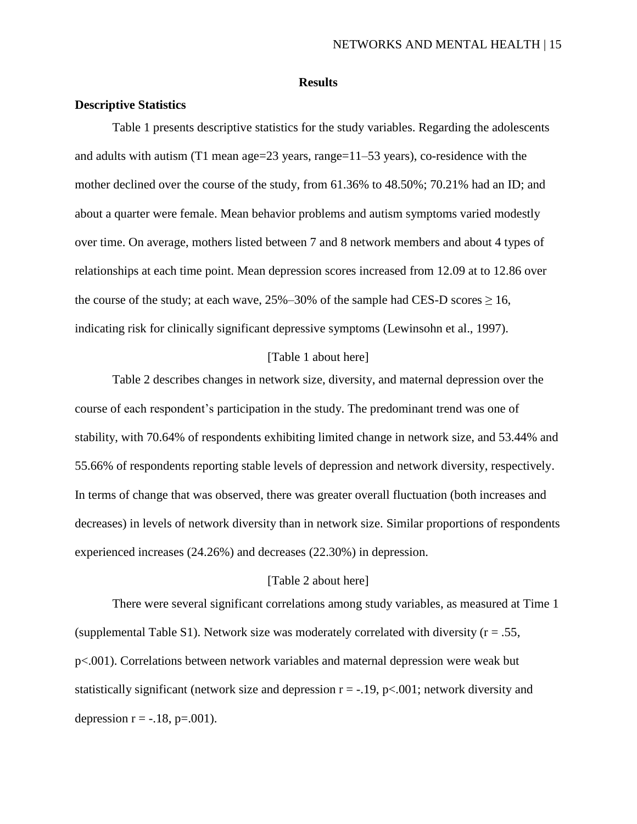#### **Results**

#### **Descriptive Statistics**

Table 1 presents descriptive statistics for the study variables. Regarding the adolescents and adults with autism  $(T1 \text{ mean age} = 23 \text{ years}, \text{ range} = 11-53 \text{ years})$ , co-residence with the mother declined over the course of the study, from 61.36% to 48.50%; 70.21% had an ID; and about a quarter were female. Mean behavior problems and autism symptoms varied modestly over time. On average, mothers listed between 7 and 8 network members and about 4 types of relationships at each time point. Mean depression scores increased from 12.09 at to 12.86 over the course of the study; at each wave,  $25\% - 30\%$  of the sample had CES-D scores  $> 16$ , indicating risk for clinically significant depressive symptoms (Lewinsohn et al., 1997).

## [Table 1 about here]

Table 2 describes changes in network size, diversity, and maternal depression over the course of each respondent's participation in the study. The predominant trend was one of stability, with 70.64% of respondents exhibiting limited change in network size, and 53.44% and 55.66% of respondents reporting stable levels of depression and network diversity, respectively. In terms of change that was observed, there was greater overall fluctuation (both increases and decreases) in levels of network diversity than in network size. Similar proportions of respondents experienced increases (24.26%) and decreases (22.30%) in depression.

## [Table 2 about here]

There were several significant correlations among study variables, as measured at Time 1 (supplemental Table S1). Network size was moderately correlated with diversity ( $r = .55$ , p<.001). Correlations between network variables and maternal depression were weak but statistically significant (network size and depression  $r = -0.19$ , p $\lt 0.001$ ; network diversity and depression  $r = -.18$ ,  $p = .001$ ).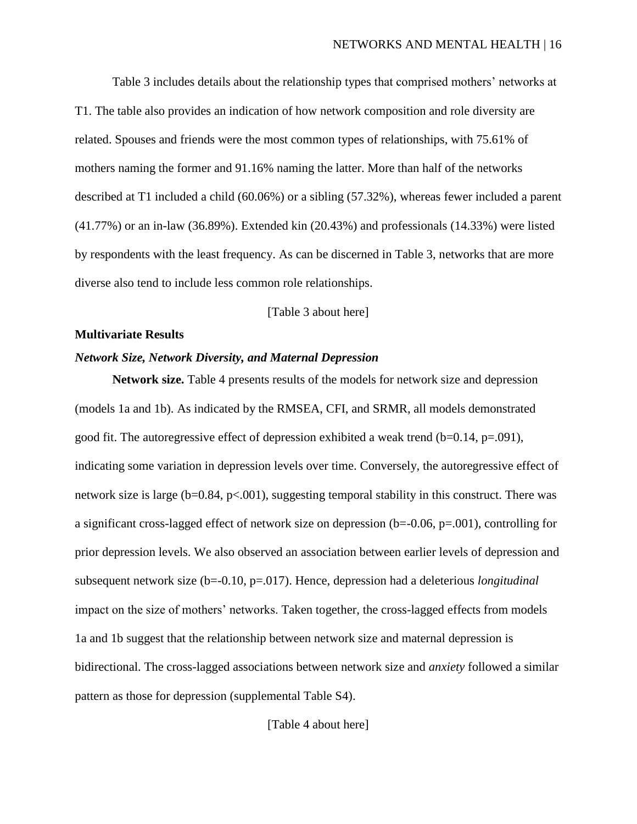Table 3 includes details about the relationship types that comprised mothers' networks at T1. The table also provides an indication of how network composition and role diversity are related. Spouses and friends were the most common types of relationships, with 75.61% of mothers naming the former and 91.16% naming the latter. More than half of the networks described at T1 included a child (60.06%) or a sibling (57.32%), whereas fewer included a parent (41.77%) or an in-law (36.89%). Extended kin (20.43%) and professionals (14.33%) were listed by respondents with the least frequency. As can be discerned in Table 3, networks that are more diverse also tend to include less common role relationships.

### [Table 3 about here]

#### **Multivariate Results**

### *Network Size, Network Diversity, and Maternal Depression*

**Network size.** Table 4 presents results of the models for network size and depression (models 1a and 1b). As indicated by the RMSEA, CFI, and SRMR, all models demonstrated good fit. The autoregressive effect of depression exhibited a weak trend  $(b=0.14, p=.091)$ , indicating some variation in depression levels over time. Conversely, the autoregressive effect of network size is large ( $b=0.84$ ,  $p<.001$ ), suggesting temporal stability in this construct. There was a significant cross-lagged effect of network size on depression (b=-0.06, p=.001), controlling for prior depression levels. We also observed an association between earlier levels of depression and subsequent network size (b=-0.10, p=.017). Hence, depression had a deleterious *longitudinal*  impact on the size of mothers' networks. Taken together, the cross-lagged effects from models 1a and 1b suggest that the relationship between network size and maternal depression is bidirectional. The cross-lagged associations between network size and *anxiety* followed a similar pattern as those for depression (supplemental Table S4).

[Table 4 about here]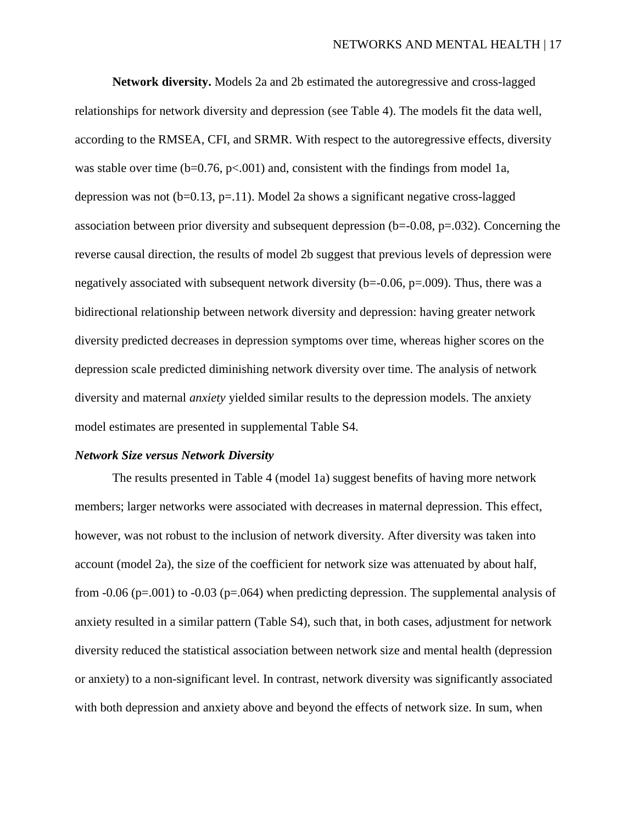**Network diversity.** Models 2a and 2b estimated the autoregressive and cross-lagged relationships for network diversity and depression (see Table 4). The models fit the data well, according to the RMSEA, CFI, and SRMR. With respect to the autoregressive effects, diversity was stable over time  $(b=0.76, p<0.01)$  and, consistent with the findings from model 1a, depression was not  $(b=0.13, p=.11)$ . Model 2a shows a significant negative cross-lagged association between prior diversity and subsequent depression  $(b=0.08, p=.032)$ . Concerning the reverse causal direction, the results of model 2b suggest that previous levels of depression were negatively associated with subsequent network diversity (b=-0.06, p=.009). Thus, there was a bidirectional relationship between network diversity and depression: having greater network diversity predicted decreases in depression symptoms over time, whereas higher scores on the depression scale predicted diminishing network diversity over time. The analysis of network diversity and maternal *anxiety* yielded similar results to the depression models. The anxiety model estimates are presented in supplemental Table S4.

#### *Network Size versus Network Diversity*

The results presented in Table 4 (model 1a) suggest benefits of having more network members; larger networks were associated with decreases in maternal depression. This effect, however, was not robust to the inclusion of network diversity. After diversity was taken into account (model 2a), the size of the coefficient for network size was attenuated by about half, from  $-0.06$  (p=.001) to  $-0.03$  (p=.064) when predicting depression. The supplemental analysis of anxiety resulted in a similar pattern (Table S4), such that, in both cases, adjustment for network diversity reduced the statistical association between network size and mental health (depression or anxiety) to a non-significant level. In contrast, network diversity was significantly associated with both depression and anxiety above and beyond the effects of network size. In sum, when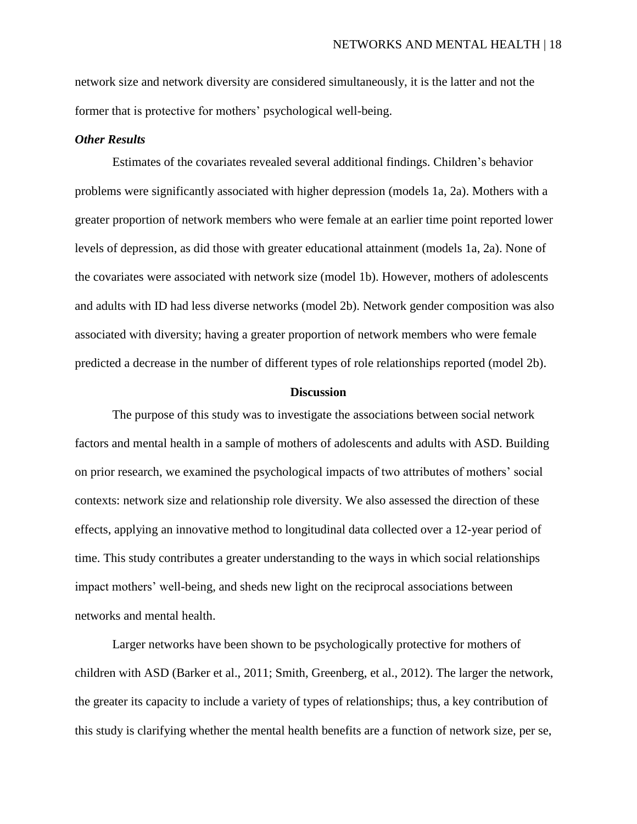network size and network diversity are considered simultaneously, it is the latter and not the former that is protective for mothers' psychological well-being.

## *Other Results*

Estimates of the covariates revealed several additional findings. Children's behavior problems were significantly associated with higher depression (models 1a, 2a). Mothers with a greater proportion of network members who were female at an earlier time point reported lower levels of depression, as did those with greater educational attainment (models 1a, 2a). None of the covariates were associated with network size (model 1b). However, mothers of adolescents and adults with ID had less diverse networks (model 2b). Network gender composition was also associated with diversity; having a greater proportion of network members who were female predicted a decrease in the number of different types of role relationships reported (model 2b).

#### **Discussion**

The purpose of this study was to investigate the associations between social network factors and mental health in a sample of mothers of adolescents and adults with ASD. Building on prior research, we examined the psychological impacts of two attributes of mothers' social contexts: network size and relationship role diversity. We also assessed the direction of these effects, applying an innovative method to longitudinal data collected over a 12-year period of time. This study contributes a greater understanding to the ways in which social relationships impact mothers' well-being, and sheds new light on the reciprocal associations between networks and mental health.

Larger networks have been shown to be psychologically protective for mothers of children with ASD (Barker et al., 2011; Smith, Greenberg, et al., 2012). The larger the network, the greater its capacity to include a variety of types of relationships; thus, a key contribution of this study is clarifying whether the mental health benefits are a function of network size, per se,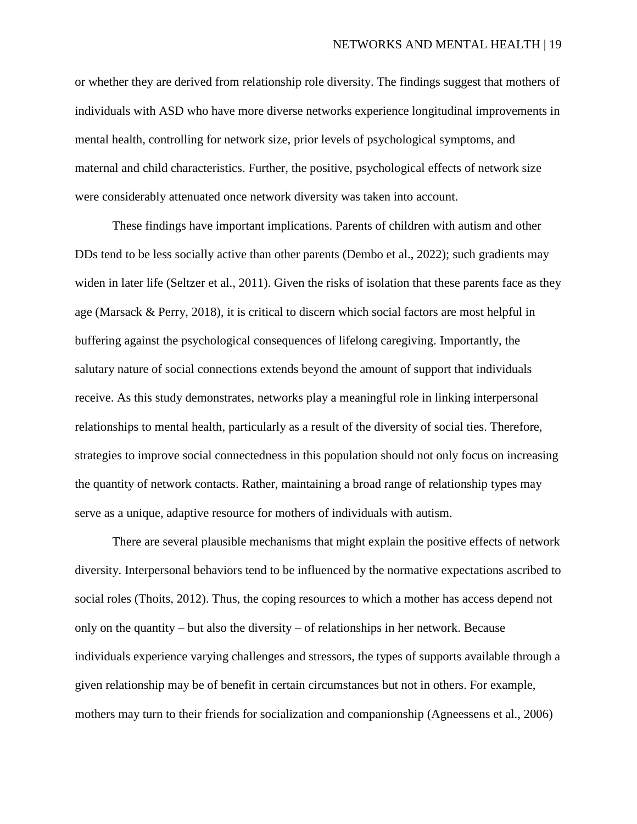or whether they are derived from relationship role diversity. The findings suggest that mothers of individuals with ASD who have more diverse networks experience longitudinal improvements in mental health, controlling for network size, prior levels of psychological symptoms, and maternal and child characteristics. Further, the positive, psychological effects of network size were considerably attenuated once network diversity was taken into account.

These findings have important implications. Parents of children with autism and other DDs tend to be less socially active than other parents (Dembo et al., 2022); such gradients may widen in later life (Seltzer et al., 2011). Given the risks of isolation that these parents face as they age (Marsack & Perry, 2018), it is critical to discern which social factors are most helpful in buffering against the psychological consequences of lifelong caregiving. Importantly, the salutary nature of social connections extends beyond the amount of support that individuals receive. As this study demonstrates, networks play a meaningful role in linking interpersonal relationships to mental health, particularly as a result of the diversity of social ties. Therefore, strategies to improve social connectedness in this population should not only focus on increasing the quantity of network contacts. Rather, maintaining a broad range of relationship types may serve as a unique, adaptive resource for mothers of individuals with autism.

There are several plausible mechanisms that might explain the positive effects of network diversity. Interpersonal behaviors tend to be influenced by the normative expectations ascribed to social roles (Thoits, 2012). Thus, the coping resources to which a mother has access depend not only on the quantity – but also the diversity – of relationships in her network. Because individuals experience varying challenges and stressors, the types of supports available through a given relationship may be of benefit in certain circumstances but not in others. For example, mothers may turn to their friends for socialization and companionship (Agneessens et al., 2006)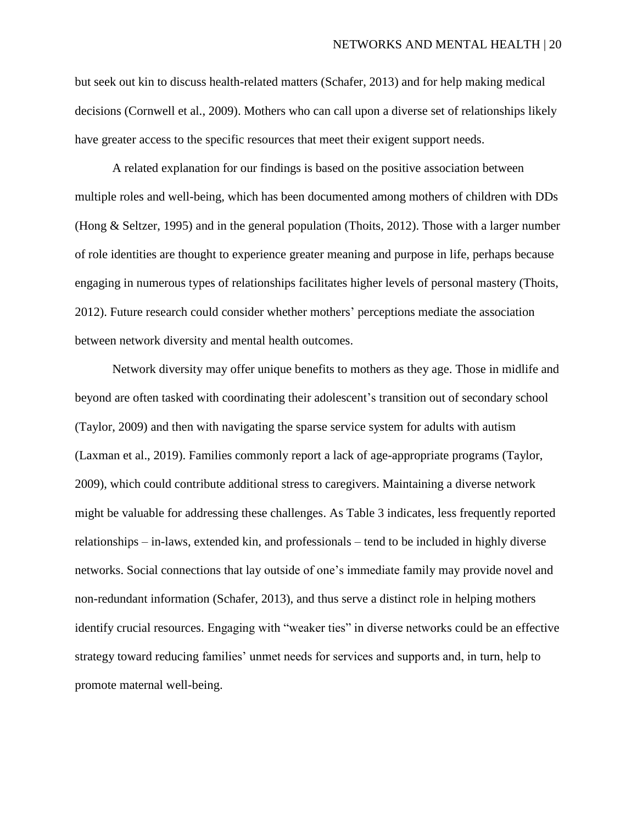but seek out kin to discuss health-related matters (Schafer, 2013) and for help making medical decisions (Cornwell et al., 2009). Mothers who can call upon a diverse set of relationships likely have greater access to the specific resources that meet their exigent support needs.

A related explanation for our findings is based on the positive association between multiple roles and well-being, which has been documented among mothers of children with DDs (Hong & Seltzer, 1995) and in the general population (Thoits, 2012). Those with a larger number of role identities are thought to experience greater meaning and purpose in life, perhaps because engaging in numerous types of relationships facilitates higher levels of personal mastery (Thoits, 2012). Future research could consider whether mothers' perceptions mediate the association between network diversity and mental health outcomes.

Network diversity may offer unique benefits to mothers as they age. Those in midlife and beyond are often tasked with coordinating their adolescent's transition out of secondary school (Taylor, 2009) and then with navigating the sparse service system for adults with autism (Laxman et al., 2019). Families commonly report a lack of age-appropriate programs (Taylor, 2009), which could contribute additional stress to caregivers. Maintaining a diverse network might be valuable for addressing these challenges. As Table 3 indicates, less frequently reported relationships – in-laws, extended kin, and professionals – tend to be included in highly diverse networks. Social connections that lay outside of one's immediate family may provide novel and non-redundant information (Schafer, 2013), and thus serve a distinct role in helping mothers identify crucial resources. Engaging with "weaker ties" in diverse networks could be an effective strategy toward reducing families' unmet needs for services and supports and, in turn, help to promote maternal well-being.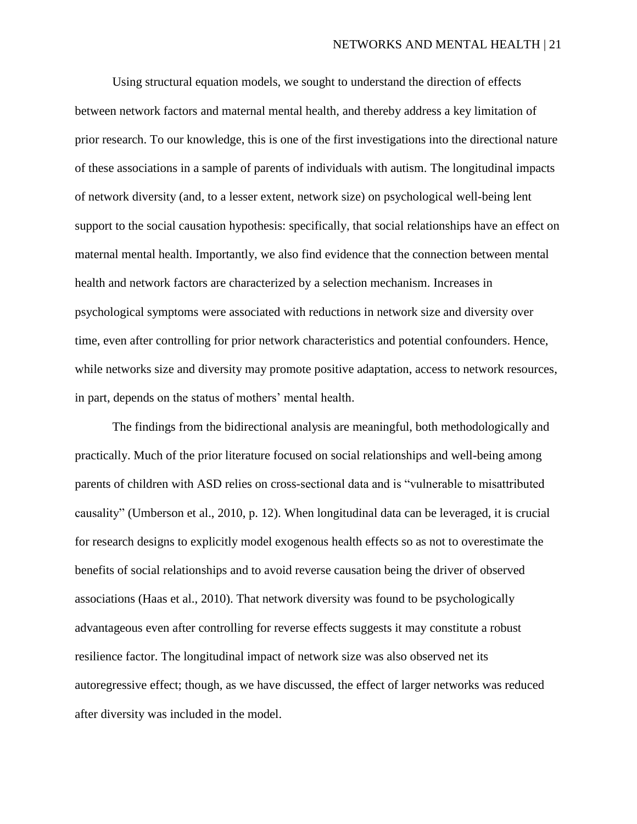Using structural equation models, we sought to understand the direction of effects between network factors and maternal mental health, and thereby address a key limitation of prior research. To our knowledge, this is one of the first investigations into the directional nature of these associations in a sample of parents of individuals with autism. The longitudinal impacts of network diversity (and, to a lesser extent, network size) on psychological well-being lent support to the social causation hypothesis: specifically, that social relationships have an effect on maternal mental health. Importantly, we also find evidence that the connection between mental health and network factors are characterized by a selection mechanism. Increases in psychological symptoms were associated with reductions in network size and diversity over time, even after controlling for prior network characteristics and potential confounders. Hence, while networks size and diversity may promote positive adaptation, access to network resources, in part, depends on the status of mothers' mental health.

The findings from the bidirectional analysis are meaningful, both methodologically and practically. Much of the prior literature focused on social relationships and well-being among parents of children with ASD relies on cross-sectional data and is "vulnerable to misattributed causality" (Umberson et al., 2010, p. 12). When longitudinal data can be leveraged, it is crucial for research designs to explicitly model exogenous health effects so as not to overestimate the benefits of social relationships and to avoid reverse causation being the driver of observed associations (Haas et al., 2010). That network diversity was found to be psychologically advantageous even after controlling for reverse effects suggests it may constitute a robust resilience factor. The longitudinal impact of network size was also observed net its autoregressive effect; though, as we have discussed, the effect of larger networks was reduced after diversity was included in the model.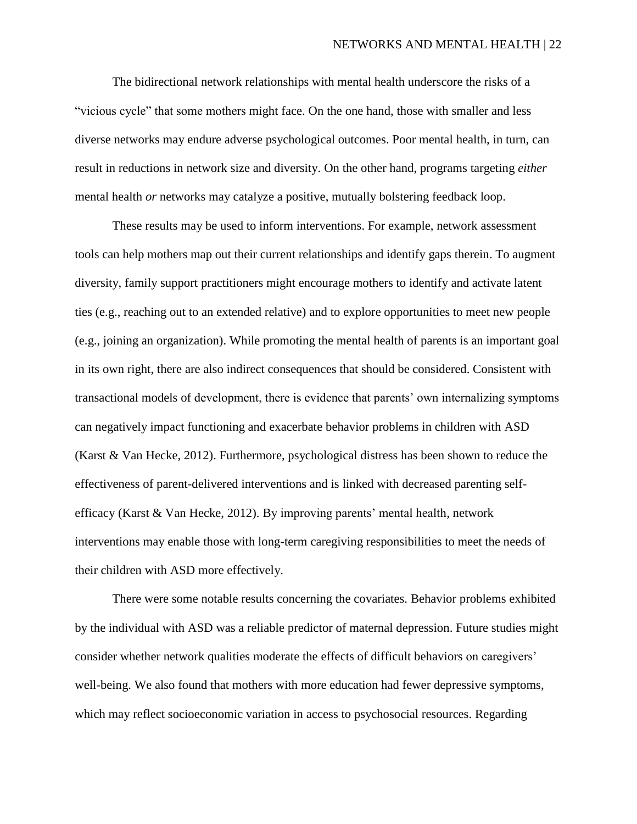The bidirectional network relationships with mental health underscore the risks of a "vicious cycle" that some mothers might face. On the one hand, those with smaller and less diverse networks may endure adverse psychological outcomes. Poor mental health, in turn, can result in reductions in network size and diversity. On the other hand, programs targeting *either*  mental health *or* networks may catalyze a positive, mutually bolstering feedback loop.

These results may be used to inform interventions. For example, network assessment tools can help mothers map out their current relationships and identify gaps therein. To augment diversity, family support practitioners might encourage mothers to identify and activate latent ties (e.g., reaching out to an extended relative) and to explore opportunities to meet new people (e.g., joining an organization). While promoting the mental health of parents is an important goal in its own right, there are also indirect consequences that should be considered. Consistent with transactional models of development, there is evidence that parents' own internalizing symptoms can negatively impact functioning and exacerbate behavior problems in children with ASD (Karst & Van Hecke, 2012). Furthermore, psychological distress has been shown to reduce the effectiveness of parent-delivered interventions and is linked with decreased parenting selfefficacy (Karst & Van Hecke, 2012). By improving parents' mental health, network interventions may enable those with long-term caregiving responsibilities to meet the needs of their children with ASD more effectively.

There were some notable results concerning the covariates. Behavior problems exhibited by the individual with ASD was a reliable predictor of maternal depression. Future studies might consider whether network qualities moderate the effects of difficult behaviors on caregivers' well-being. We also found that mothers with more education had fewer depressive symptoms, which may reflect socioeconomic variation in access to psychosocial resources. Regarding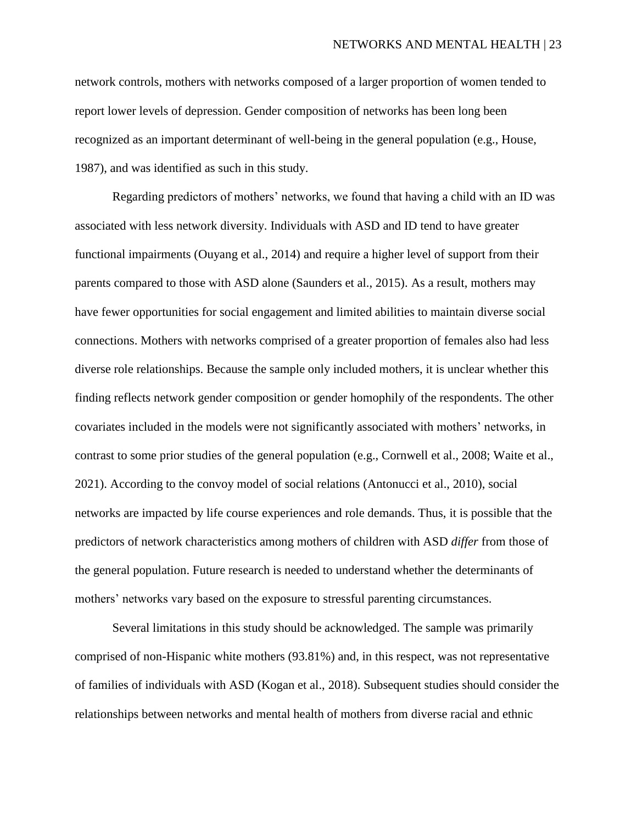network controls, mothers with networks composed of a larger proportion of women tended to report lower levels of depression. Gender composition of networks has been long been recognized as an important determinant of well-being in the general population (e.g., House, 1987), and was identified as such in this study.

Regarding predictors of mothers' networks, we found that having a child with an ID was associated with less network diversity. Individuals with ASD and ID tend to have greater functional impairments (Ouyang et al., 2014) and require a higher level of support from their parents compared to those with ASD alone (Saunders et al., 2015). As a result, mothers may have fewer opportunities for social engagement and limited abilities to maintain diverse social connections. Mothers with networks comprised of a greater proportion of females also had less diverse role relationships. Because the sample only included mothers, it is unclear whether this finding reflects network gender composition or gender homophily of the respondents. The other covariates included in the models were not significantly associated with mothers' networks, in contrast to some prior studies of the general population (e.g., Cornwell et al., 2008; Waite et al., 2021). According to the convoy model of social relations (Antonucci et al., 2010), social networks are impacted by life course experiences and role demands. Thus, it is possible that the predictors of network characteristics among mothers of children with ASD *differ* from those of the general population. Future research is needed to understand whether the determinants of mothers' networks vary based on the exposure to stressful parenting circumstances.

Several limitations in this study should be acknowledged. The sample was primarily comprised of non-Hispanic white mothers (93.81%) and, in this respect, was not representative of families of individuals with ASD (Kogan et al., 2018). Subsequent studies should consider the relationships between networks and mental health of mothers from diverse racial and ethnic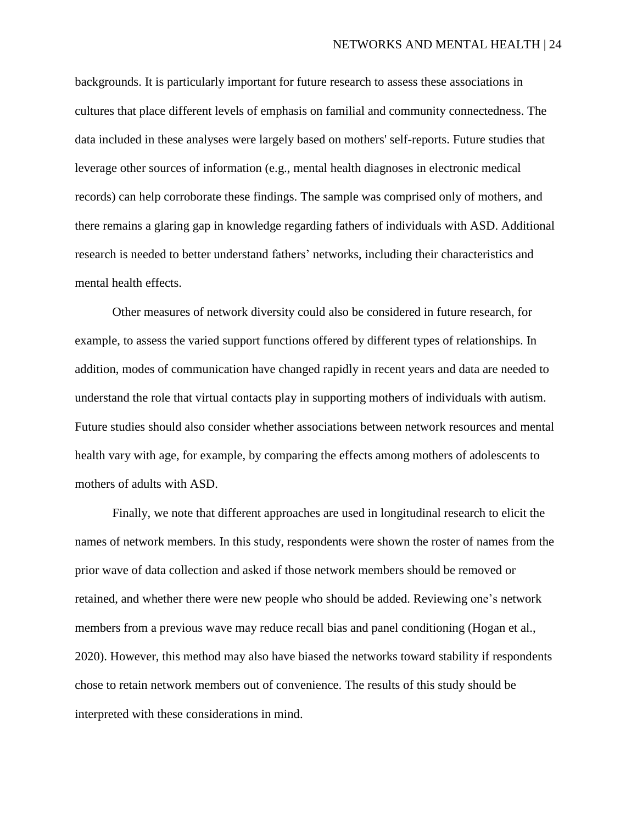backgrounds. It is particularly important for future research to assess these associations in cultures that place different levels of emphasis on familial and community connectedness. The data included in these analyses were largely based on mothers' self-reports. Future studies that leverage other sources of information (e.g., mental health diagnoses in electronic medical records) can help corroborate these findings. The sample was comprised only of mothers, and there remains a glaring gap in knowledge regarding fathers of individuals with ASD. Additional research is needed to better understand fathers' networks, including their characteristics and mental health effects.

Other measures of network diversity could also be considered in future research, for example, to assess the varied support functions offered by different types of relationships. In addition, modes of communication have changed rapidly in recent years and data are needed to understand the role that virtual contacts play in supporting mothers of individuals with autism. Future studies should also consider whether associations between network resources and mental health vary with age, for example, by comparing the effects among mothers of adolescents to mothers of adults with ASD.

Finally, we note that different approaches are used in longitudinal research to elicit the names of network members. In this study, respondents were shown the roster of names from the prior wave of data collection and asked if those network members should be removed or retained, and whether there were new people who should be added. Reviewing one's network members from a previous wave may reduce recall bias and panel conditioning (Hogan et al., 2020). However, this method may also have biased the networks toward stability if respondents chose to retain network members out of convenience. The results of this study should be interpreted with these considerations in mind.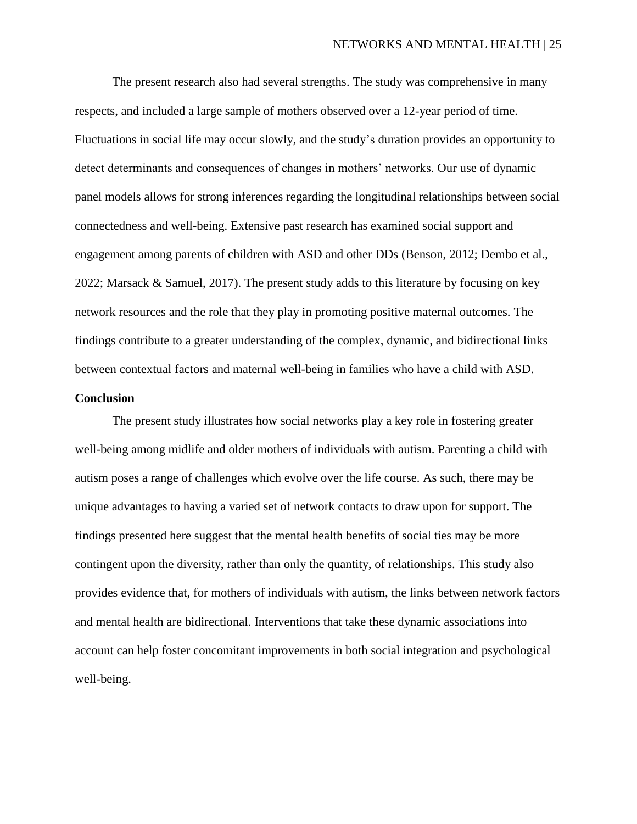The present research also had several strengths. The study was comprehensive in many respects, and included a large sample of mothers observed over a 12-year period of time. Fluctuations in social life may occur slowly, and the study's duration provides an opportunity to detect determinants and consequences of changes in mothers' networks. Our use of dynamic panel models allows for strong inferences regarding the longitudinal relationships between social connectedness and well-being. Extensive past research has examined social support and engagement among parents of children with ASD and other DDs (Benson, 2012; Dembo et al., 2022; Marsack & Samuel, 2017). The present study adds to this literature by focusing on key network resources and the role that they play in promoting positive maternal outcomes. The findings contribute to a greater understanding of the complex, dynamic, and bidirectional links between contextual factors and maternal well-being in families who have a child with ASD.

#### **Conclusion**

The present study illustrates how social networks play a key role in fostering greater well-being among midlife and older mothers of individuals with autism. Parenting a child with autism poses a range of challenges which evolve over the life course. As such, there may be unique advantages to having a varied set of network contacts to draw upon for support. The findings presented here suggest that the mental health benefits of social ties may be more contingent upon the diversity, rather than only the quantity, of relationships. This study also provides evidence that, for mothers of individuals with autism, the links between network factors and mental health are bidirectional. Interventions that take these dynamic associations into account can help foster concomitant improvements in both social integration and psychological well-being.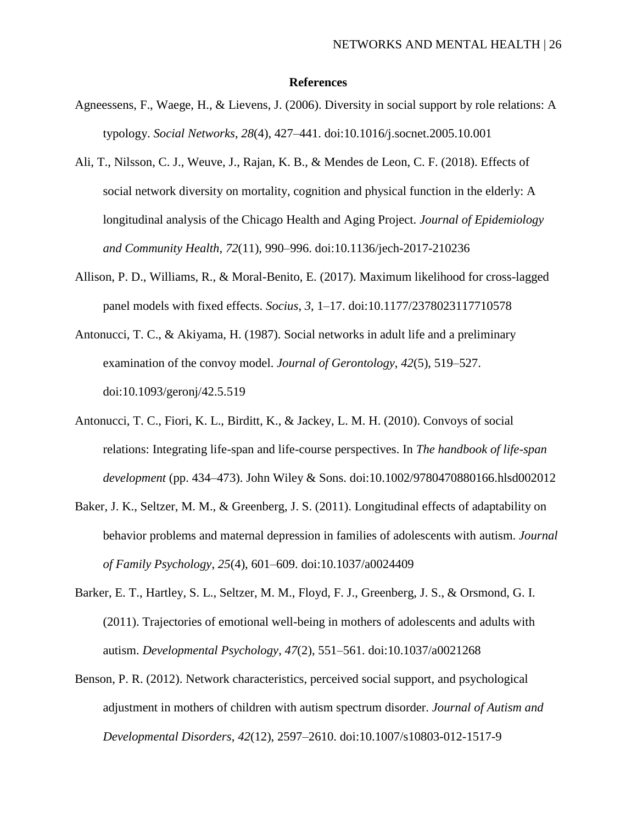#### **References**

- Agneessens, F., Waege, H., & Lievens, J. (2006). Diversity in social support by role relations: A typology. *Social Networks*, *28*(4), 427–441. doi:10.1016/j.socnet.2005.10.001
- Ali, T., Nilsson, C. J., Weuve, J., Rajan, K. B., & Mendes de Leon, C. F. (2018). Effects of social network diversity on mortality, cognition and physical function in the elderly: A longitudinal analysis of the Chicago Health and Aging Project. *Journal of Epidemiology and Community Health*, *72*(11), 990–996. doi:10.1136/jech-2017-210236
- Allison, P. D., Williams, R., & Moral-Benito, E. (2017). Maximum likelihood for cross-lagged panel models with fixed effects. *Socius*, *3*, 1–17. doi:10.1177/2378023117710578
- Antonucci, T. C., & Akiyama, H. (1987). Social networks in adult life and a preliminary examination of the convoy model. *Journal of Gerontology*, *42*(5), 519–527. doi:10.1093/geronj/42.5.519
- Antonucci, T. C., Fiori, K. L., Birditt, K., & Jackey, L. M. H. (2010). Convoys of social relations: Integrating life-span and life-course perspectives. In *The handbook of life-span development* (pp. 434–473). John Wiley & Sons. doi:10.1002/9780470880166.hlsd002012
- Baker, J. K., Seltzer, M. M., & Greenberg, J. S. (2011). Longitudinal effects of adaptability on behavior problems and maternal depression in families of adolescents with autism. *Journal of Family Psychology*, *25*(4), 601–609. doi:10.1037/a0024409
- Barker, E. T., Hartley, S. L., Seltzer, M. M., Floyd, F. J., Greenberg, J. S., & Orsmond, G. I. (2011). Trajectories of emotional well-being in mothers of adolescents and adults with autism. *Developmental Psychology*, *47*(2), 551–561. doi:10.1037/a0021268
- Benson, P. R. (2012). Network characteristics, perceived social support, and psychological adjustment in mothers of children with autism spectrum disorder. *Journal of Autism and Developmental Disorders*, *42*(12), 2597–2610. doi:10.1007/s10803-012-1517-9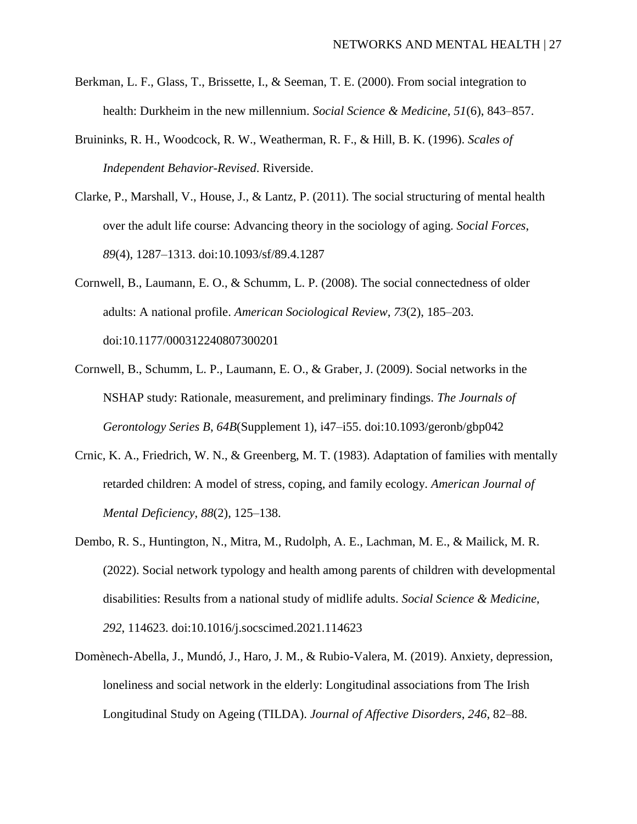- Berkman, L. F., Glass, T., Brissette, I., & Seeman, T. E. (2000). From social integration to health: Durkheim in the new millennium. *Social Science & Medicine*, *51*(6), 843–857.
- Bruininks, R. H., Woodcock, R. W., Weatherman, R. F., & Hill, B. K. (1996). *Scales of Independent Behavior-Revised*. Riverside.
- Clarke, P., Marshall, V., House, J., & Lantz, P. (2011). The social structuring of mental health over the adult life course: Advancing theory in the sociology of aging. *Social Forces*, *89*(4), 1287–1313. doi:10.1093/sf/89.4.1287
- Cornwell, B., Laumann, E. O., & Schumm, L. P. (2008). The social connectedness of older adults: A national profile. *American Sociological Review*, *73*(2), 185–203. doi:10.1177/000312240807300201
- Cornwell, B., Schumm, L. P., Laumann, E. O., & Graber, J. (2009). Social networks in the NSHAP study: Rationale, measurement, and preliminary findings. *The Journals of Gerontology Series B*, *64B*(Supplement 1), i47–i55. doi:10.1093/geronb/gbp042
- Crnic, K. A., Friedrich, W. N., & Greenberg, M. T. (1983). Adaptation of families with mentally retarded children: A model of stress, coping, and family ecology. *American Journal of Mental Deficiency*, *88*(2), 125–138.
- Dembo, R. S., Huntington, N., Mitra, M., Rudolph, A. E., Lachman, M. E., & Mailick, M. R. (2022). Social network typology and health among parents of children with developmental disabilities: Results from a national study of midlife adults. *Social Science & Medicine*, *292*, 114623. doi:10.1016/j.socscimed.2021.114623
- Domènech-Abella, J., Mundó, J., Haro, J. M., & Rubio-Valera, M. (2019). Anxiety, depression, loneliness and social network in the elderly: Longitudinal associations from The Irish Longitudinal Study on Ageing (TILDA). *Journal of Affective Disorders*, *246*, 82–88.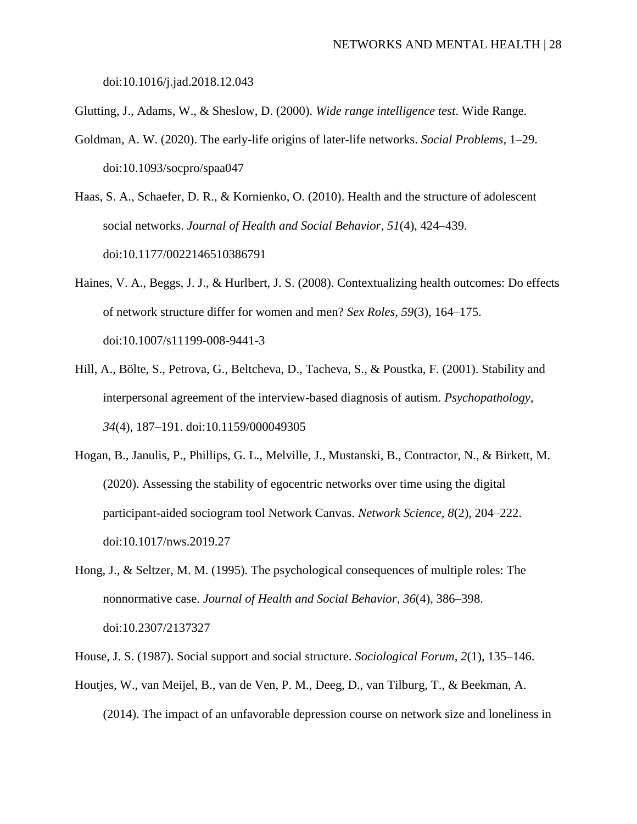doi:10.1016/j.jad.2018.12.043

- Glutting, J., Adams, W., & Sheslow, D. (2000). *Wide range intelligence test*. Wide Range.
- Goldman, A. W. (2020). The early-life origins of later-life networks. *Social Problems*, 1–29. doi:10.1093/socpro/spaa047
- Haas, S. A., Schaefer, D. R., & Kornienko, O. (2010). Health and the structure of adolescent social networks. *Journal of Health and Social Behavior*, *51*(4), 424–439. doi:10.1177/0022146510386791
- Haines, V. A., Beggs, J. J., & Hurlbert, J. S. (2008). Contextualizing health outcomes: Do effects of network structure differ for women and men? *Sex Roles*, *59*(3), 164–175. doi:10.1007/s11199-008-9441-3
- Hill, A., Bölte, S., Petrova, G., Beltcheva, D., Tacheva, S., & Poustka, F. (2001). Stability and interpersonal agreement of the interview-based diagnosis of autism. *Psychopathology*, *34*(4), 187–191. doi:10.1159/000049305
- Hogan, B., Janulis, P., Phillips, G. L., Melville, J., Mustanski, B., Contractor, N., & Birkett, M. (2020). Assessing the stability of egocentric networks over time using the digital participant-aided sociogram tool Network Canvas. *Network Science*, *8*(2), 204–222. doi:10.1017/nws.2019.27
- Hong, J., & Seltzer, M. M. (1995). The psychological consequences of multiple roles: The nonnormative case. *Journal of Health and Social Behavior*, *36*(4), 386–398. doi:10.2307/2137327
- House, J. S. (1987). Social support and social structure. *Sociological Forum*, *2*(1), 135–146.
- Houtjes, W., van Meijel, B., van de Ven, P. M., Deeg, D., van Tilburg, T., & Beekman, A. (2014). The impact of an unfavorable depression course on network size and loneliness in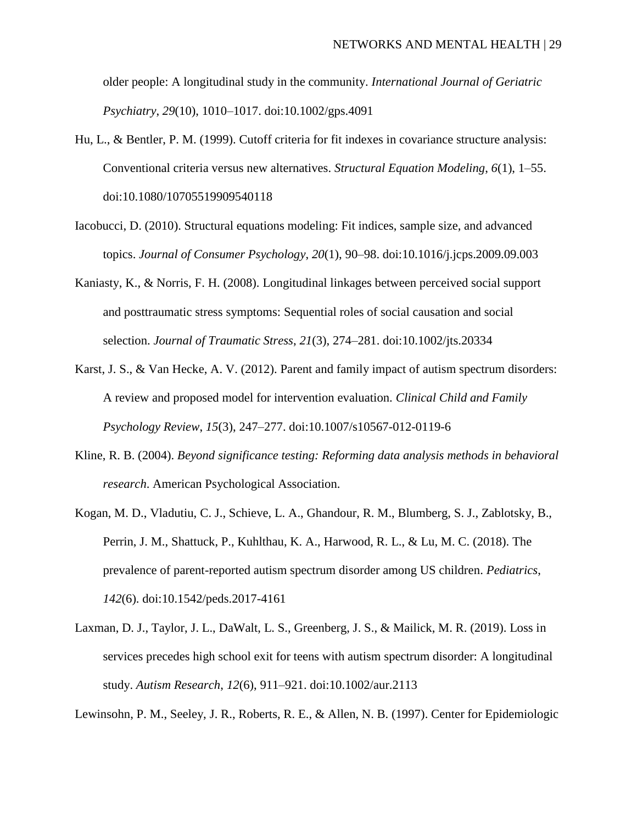older people: A longitudinal study in the community. *International Journal of Geriatric Psychiatry*, *29*(10), 1010–1017. doi:10.1002/gps.4091

- Hu, L., & Bentler, P. M. (1999). Cutoff criteria for fit indexes in covariance structure analysis: Conventional criteria versus new alternatives. *Structural Equation Modeling*, *6*(1), 1–55. doi:10.1080/10705519909540118
- Iacobucci, D. (2010). Structural equations modeling: Fit indices, sample size, and advanced topics. *Journal of Consumer Psychology*, *20*(1), 90–98. doi:10.1016/j.jcps.2009.09.003
- Kaniasty, K., & Norris, F. H. (2008). Longitudinal linkages between perceived social support and posttraumatic stress symptoms: Sequential roles of social causation and social selection. *Journal of Traumatic Stress*, *21*(3), 274–281. doi:10.1002/jts.20334
- Karst, J. S., & Van Hecke, A. V. (2012). Parent and family impact of autism spectrum disorders: A review and proposed model for intervention evaluation. *Clinical Child and Family Psychology Review*, *15*(3), 247–277. doi:10.1007/s10567-012-0119-6
- Kline, R. B. (2004). *Beyond significance testing: Reforming data analysis methods in behavioral research*. American Psychological Association.
- Kogan, M. D., Vladutiu, C. J., Schieve, L. A., Ghandour, R. M., Blumberg, S. J., Zablotsky, B., Perrin, J. M., Shattuck, P., Kuhlthau, K. A., Harwood, R. L., & Lu, M. C. (2018). The prevalence of parent-reported autism spectrum disorder among US children. *Pediatrics*, *142*(6). doi:10.1542/peds.2017-4161
- Laxman, D. J., Taylor, J. L., DaWalt, L. S., Greenberg, J. S., & Mailick, M. R. (2019). Loss in services precedes high school exit for teens with autism spectrum disorder: A longitudinal study. *Autism Research*, *12*(6), 911–921. doi:10.1002/aur.2113

Lewinsohn, P. M., Seeley, J. R., Roberts, R. E., & Allen, N. B. (1997). Center for Epidemiologic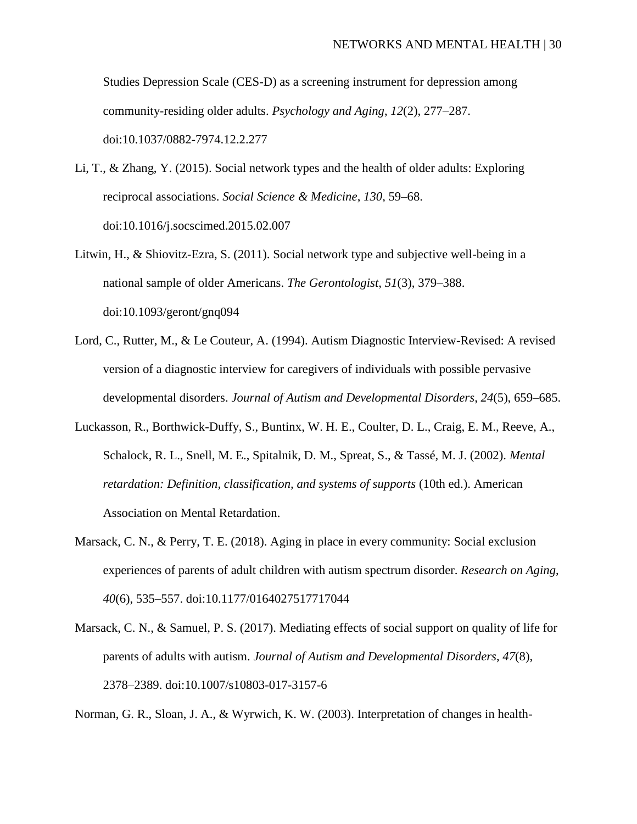Studies Depression Scale (CES-D) as a screening instrument for depression among community-residing older adults. *Psychology and Aging*, *12*(2), 277–287. doi:10.1037/0882-7974.12.2.277

- Li, T., & Zhang, Y. (2015). Social network types and the health of older adults: Exploring reciprocal associations. *Social Science & Medicine*, *130*, 59–68. doi:10.1016/j.socscimed.2015.02.007
- Litwin, H., & Shiovitz-Ezra, S. (2011). Social network type and subjective well-being in a national sample of older Americans. *The Gerontologist*, *51*(3), 379–388. doi:10.1093/geront/gnq094
- Lord, C., Rutter, M., & Le Couteur, A. (1994). Autism Diagnostic Interview-Revised: A revised version of a diagnostic interview for caregivers of individuals with possible pervasive developmental disorders. *Journal of Autism and Developmental Disorders*, *24*(5), 659–685.
- Luckasson, R., Borthwick-Duffy, S., Buntinx, W. H. E., Coulter, D. L., Craig, E. M., Reeve, A., Schalock, R. L., Snell, M. E., Spitalnik, D. M., Spreat, S., & Tassé, M. J. (2002). *Mental retardation: Definition, classification, and systems of supports* (10th ed.). American Association on Mental Retardation.
- Marsack, C. N., & Perry, T. E. (2018). Aging in place in every community: Social exclusion experiences of parents of adult children with autism spectrum disorder. *Research on Aging*, *40*(6), 535–557. doi:10.1177/0164027517717044
- Marsack, C. N., & Samuel, P. S. (2017). Mediating effects of social support on quality of life for parents of adults with autism. *Journal of Autism and Developmental Disorders*, *47*(8), 2378–2389. doi:10.1007/s10803-017-3157-6

Norman, G. R., Sloan, J. A., & Wyrwich, K. W. (2003). Interpretation of changes in health-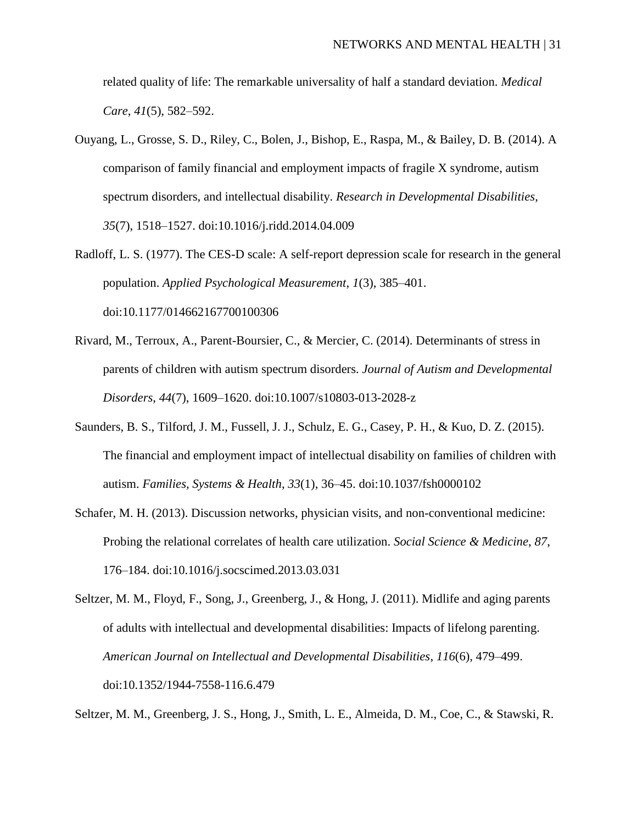related quality of life: The remarkable universality of half a standard deviation. *Medical Care*, *41*(5), 582–592.

- Ouyang, L., Grosse, S. D., Riley, C., Bolen, J., Bishop, E., Raspa, M., & Bailey, D. B. (2014). A comparison of family financial and employment impacts of fragile X syndrome, autism spectrum disorders, and intellectual disability. *Research in Developmental Disabilities*, *35*(7), 1518–1527. doi:10.1016/j.ridd.2014.04.009
- Radloff, L. S. (1977). The CES-D scale: A self-report depression scale for research in the general population. *Applied Psychological Measurement*, *1*(3), 385–401. doi:10.1177/014662167700100306
- Rivard, M., Terroux, A., Parent-Boursier, C., & Mercier, C. (2014). Determinants of stress in parents of children with autism spectrum disorders. *Journal of Autism and Developmental Disorders*, *44*(7), 1609–1620. doi:10.1007/s10803-013-2028-z
- Saunders, B. S., Tilford, J. M., Fussell, J. J., Schulz, E. G., Casey, P. H., & Kuo, D. Z. (2015). The financial and employment impact of intellectual disability on families of children with autism. *Families, Systems & Health*, *33*(1), 36–45. doi:10.1037/fsh0000102
- Schafer, M. H. (2013). Discussion networks, physician visits, and non-conventional medicine: Probing the relational correlates of health care utilization. *Social Science & Medicine*, *87*, 176–184. doi:10.1016/j.socscimed.2013.03.031
- Seltzer, M. M., Floyd, F., Song, J., Greenberg, J., & Hong, J. (2011). Midlife and aging parents of adults with intellectual and developmental disabilities: Impacts of lifelong parenting. *American Journal on Intellectual and Developmental Disabilities*, *116*(6), 479–499. doi:10.1352/1944-7558-116.6.479

Seltzer, M. M., Greenberg, J. S., Hong, J., Smith, L. E., Almeida, D. M., Coe, C., & Stawski, R.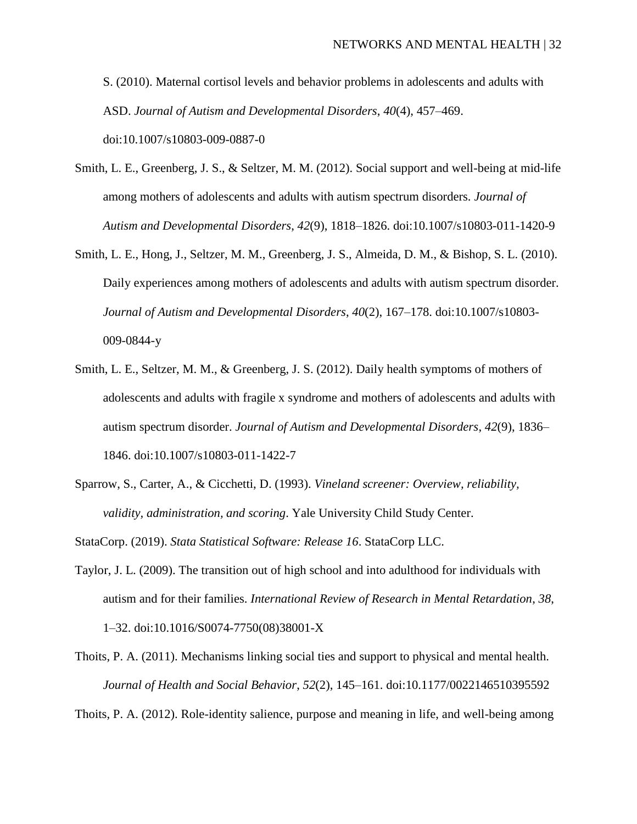S. (2010). Maternal cortisol levels and behavior problems in adolescents and adults with ASD. *Journal of Autism and Developmental Disorders*, *40*(4), 457–469. doi:10.1007/s10803-009-0887-0

- Smith, L. E., Greenberg, J. S., & Seltzer, M. M. (2012). Social support and well-being at mid-life among mothers of adolescents and adults with autism spectrum disorders. *Journal of Autism and Developmental Disorders*, *42*(9), 1818–1826. doi:10.1007/s10803-011-1420-9
- Smith, L. E., Hong, J., Seltzer, M. M., Greenberg, J. S., Almeida, D. M., & Bishop, S. L. (2010). Daily experiences among mothers of adolescents and adults with autism spectrum disorder. *Journal of Autism and Developmental Disorders*, *40*(2), 167–178. doi:10.1007/s10803- 009-0844-y
- Smith, L. E., Seltzer, M. M., & Greenberg, J. S. (2012). Daily health symptoms of mothers of adolescents and adults with fragile x syndrome and mothers of adolescents and adults with autism spectrum disorder. *Journal of Autism and Developmental Disorders*, *42*(9), 1836– 1846. doi:10.1007/s10803-011-1422-7
- Sparrow, S., Carter, A., & Cicchetti, D. (1993). *Vineland screener: Overview, reliability, validity, administration, and scoring*. Yale University Child Study Center.
- StataCorp. (2019). *Stata Statistical Software: Release 16*. StataCorp LLC.
- Taylor, J. L. (2009). The transition out of high school and into adulthood for individuals with autism and for their families. *International Review of Research in Mental Retardation*, *38*, 1–32. doi:10.1016/S0074-7750(08)38001-X
- Thoits, P. A. (2011). Mechanisms linking social ties and support to physical and mental health. *Journal of Health and Social Behavior*, *52*(2), 145–161. doi:10.1177/0022146510395592

Thoits, P. A. (2012). Role-identity salience, purpose and meaning in life, and well-being among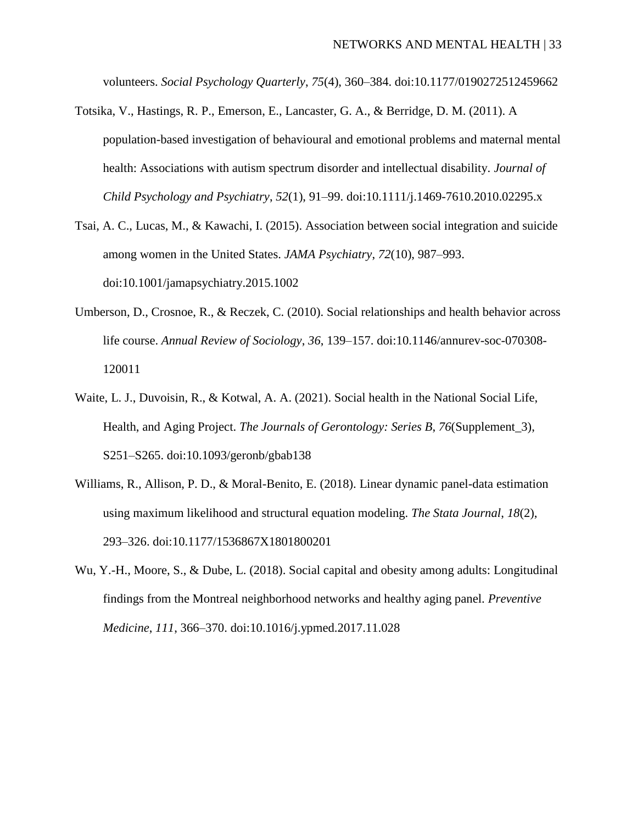volunteers. *Social Psychology Quarterly*, *75*(4), 360–384. doi:10.1177/0190272512459662

- Totsika, V., Hastings, R. P., Emerson, E., Lancaster, G. A., & Berridge, D. M. (2011). A population-based investigation of behavioural and emotional problems and maternal mental health: Associations with autism spectrum disorder and intellectual disability. *Journal of Child Psychology and Psychiatry*, *52*(1), 91–99. doi:10.1111/j.1469-7610.2010.02295.x
- Tsai, A. C., Lucas, M., & Kawachi, I. (2015). Association between social integration and suicide among women in the United States. *JAMA Psychiatry*, *72*(10), 987–993. doi:10.1001/jamapsychiatry.2015.1002
- Umberson, D., Crosnoe, R., & Reczek, C. (2010). Social relationships and health behavior across life course. *Annual Review of Sociology*, *36*, 139–157. doi:10.1146/annurev-soc-070308- 120011
- Waite, L. J., Duvoisin, R., & Kotwal, A. A. (2021). Social health in the National Social Life, Health, and Aging Project. *The Journals of Gerontology: Series B*, *76*(Supplement\_3), S251–S265. doi:10.1093/geronb/gbab138
- Williams, R., Allison, P. D., & Moral-Benito, E. (2018). Linear dynamic panel-data estimation using maximum likelihood and structural equation modeling. *The Stata Journal*, *18*(2), 293–326. doi:10.1177/1536867X1801800201
- Wu, Y.-H., Moore, S., & Dube, L. (2018). Social capital and obesity among adults: Longitudinal findings from the Montreal neighborhood networks and healthy aging panel. *Preventive Medicine*, *111*, 366–370. doi:10.1016/j.ypmed.2017.11.028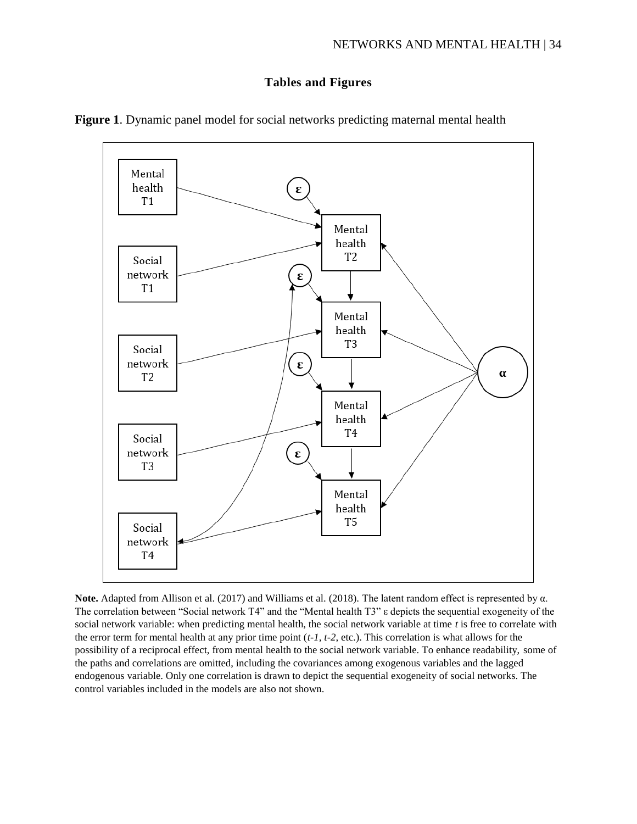## **Tables and Figures**



**Figure 1**. Dynamic panel model for social networks predicting maternal mental health

**Note.** Adapted from Allison et al. (2017) and Williams et al. (2018). The latent random effect is represented by α. The correlation between "Social network T4" and the "Mental health T3" ε depicts the sequential exogeneity of the social network variable: when predicting mental health, the social network variable at time *t* is free to correlate with the error term for mental health at any prior time point (*t-1, t-2*, etc.). This correlation is what allows for the possibility of a reciprocal effect, from mental health to the social network variable. To enhance readability, some of the paths and correlations are omitted, including the covariances among exogenous variables and the lagged endogenous variable. Only one correlation is drawn to depict the sequential exogeneity of social networks. The control variables included in the models are also not shown.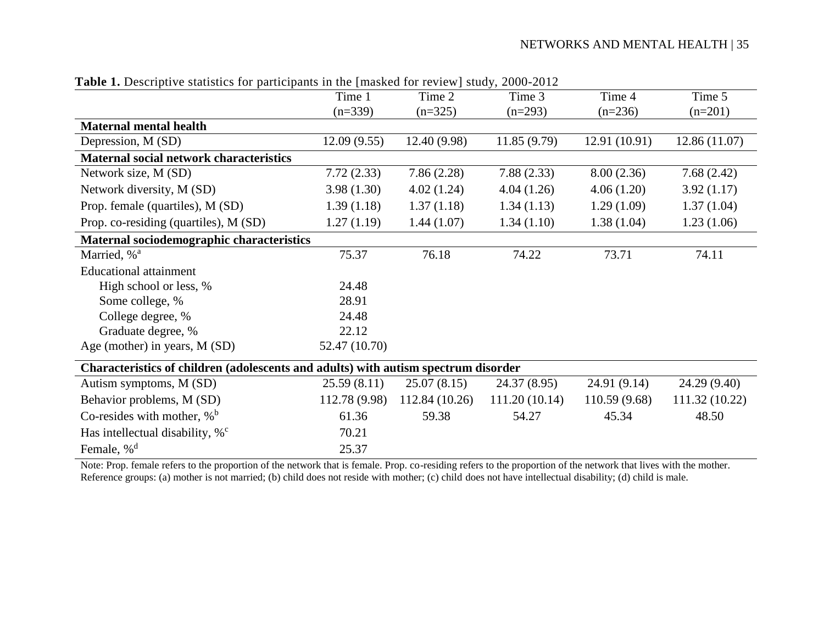| <b>Table 1.</b> Descriptive statistics for participants in the finasted for review study, 2000-2012 |               |                |               |               |                |
|-----------------------------------------------------------------------------------------------------|---------------|----------------|---------------|---------------|----------------|
|                                                                                                     | Time 1        | Time 2         | Time 3        | Time 4        | Time 5         |
|                                                                                                     | $(n=339)$     | $(n=325)$      | $(n=293)$     | $(n=236)$     | $(n=201)$      |
| <b>Maternal mental health</b>                                                                       |               |                |               |               |                |
| Depression, M (SD)                                                                                  | 12.09(9.55)   | 12.40 (9.98)   | 11.85(9.79)   | 12.91 (10.91) | 12.86 (11.07)  |
| Maternal social network characteristics                                                             |               |                |               |               |                |
| Network size, M (SD)                                                                                | 7.72(2.33)    | 7.86(2.28)     | 7.88(2.33)    | 8.00(2.36)    | 7.68(2.42)     |
| Network diversity, M (SD)                                                                           | 3.98(1.30)    | 4.02(1.24)     | 4.04(1.26)    | 4.06(1.20)    | 3.92(1.17)     |
| Prop. female (quartiles), M (SD)                                                                    | 1.39(1.18)    | 1.37(1.18)     | 1.34(1.13)    | 1.29(1.09)    | 1.37(1.04)     |
| Prop. co-residing (quartiles), M (SD)                                                               | 1.27(1.19)    | 1.44(1.07)     | 1.34(1.10)    | 1.38(1.04)    | 1.23(1.06)     |
| Maternal sociodemographic characteristics                                                           |               |                |               |               |                |
| Married, % <sup>a</sup>                                                                             | 75.37         | 76.18          | 74.22         | 73.71         | 74.11          |
| <b>Educational attainment</b>                                                                       |               |                |               |               |                |
| High school or less, %                                                                              | 24.48         |                |               |               |                |
| Some college, %                                                                                     | 28.91         |                |               |               |                |
| College degree, %                                                                                   | 24.48         |                |               |               |                |
| Graduate degree, %                                                                                  | 22.12         |                |               |               |                |
| Age (mother) in years, M (SD)                                                                       | 52.47 (10.70) |                |               |               |                |
| Characteristics of children (adolescents and adults) with autism spectrum disorder                  |               |                |               |               |                |
| Autism symptoms, M (SD)                                                                             | 25.59(8.11)   | 25.07(8.15)    | 24.37 (8.95)  | 24.91 (9.14)  | 24.29 (9.40)   |
| Behavior problems, M (SD)                                                                           | 112.78 (9.98) | 112.84 (10.26) | 111.20(10.14) | 110.59 (9.68) | 111.32 (10.22) |
| Co-resides with mother, $\%$ <sup>b</sup>                                                           | 61.36         | 59.38          | 54.27         | 45.34         | 48.50          |
| Has intellectual disability, $%^c$                                                                  | 70.21         |                |               |               |                |
| Female, % <sup>d</sup>                                                                              | 25.37         |                |               |               |                |

**Table 1.** Descriptive statistics for participants in the [masked for review] study, 2000-2012

Note: Prop. female refers to the proportion of the network that is female. Prop. co-residing refers to the proportion of the network that lives with the mother. Reference groups: (a) mother is not married; (b) child does not reside with mother; (c) child does not have intellectual disability; (d) child is male.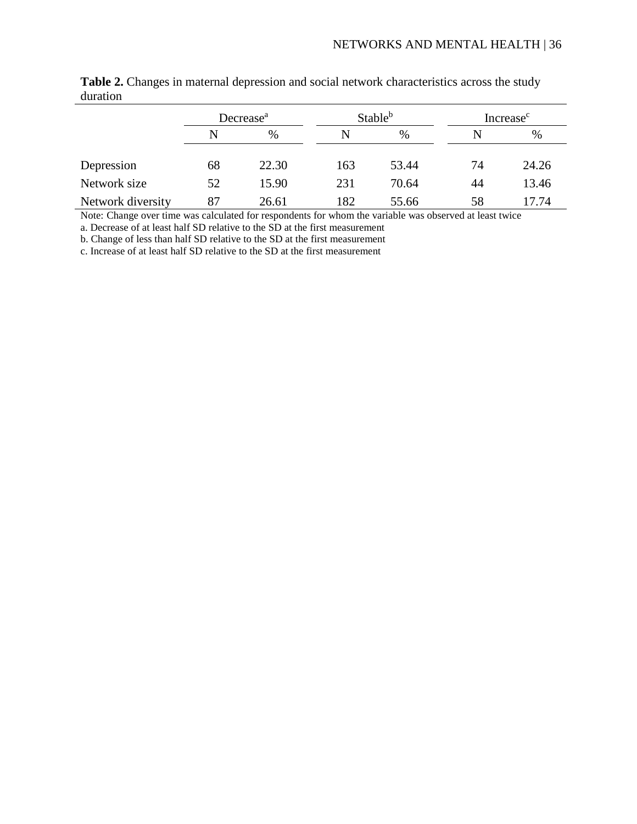|                   | Decrease <sup>a</sup> |       | Stable <sup>b</sup> |       | Increase <sup>c</sup> |       |
|-------------------|-----------------------|-------|---------------------|-------|-----------------------|-------|
|                   | N                     | $\%$  |                     | $\%$  |                       | %     |
| Depression        | 68                    | 22.30 | 163                 | 53.44 | 74                    | 24.26 |
| Network size      | 52                    | 15.90 | 231                 | 70.64 | 44                    | 13.46 |
| Network diversity | 87                    | 26.61 | 182                 | 55.66 | 58                    | 17.74 |

**Table 2.** Changes in maternal depression and social network characteristics across the study duration

Note: Change over time was calculated for respondents for whom the variable was observed at least twice

a. Decrease of at least half SD relative to the SD at the first measurement

b. Change of less than half SD relative to the SD at the first measurement

c. Increase of at least half SD relative to the SD at the first measurement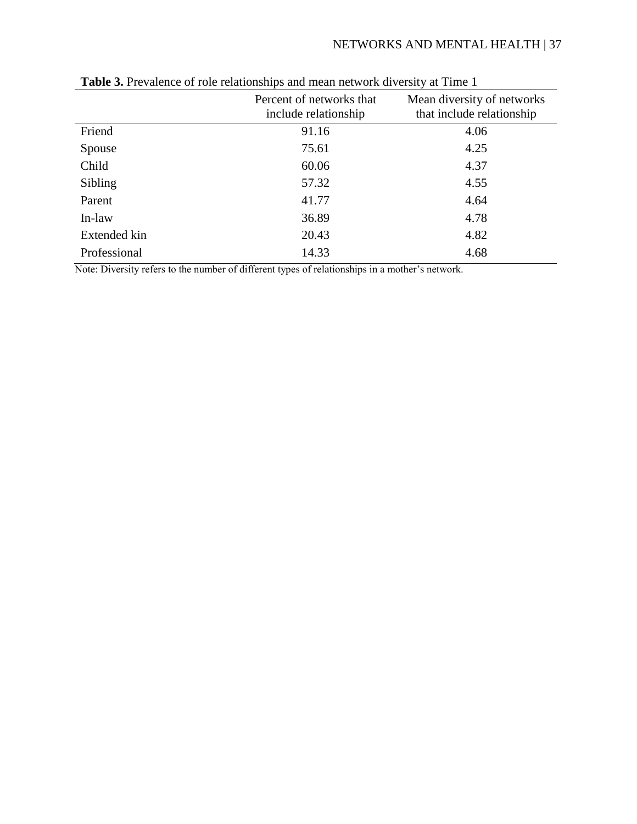|              | Percent of networks that<br>include relationship | Mean diversity of networks<br>that include relationship |
|--------------|--------------------------------------------------|---------------------------------------------------------|
| Friend       | 91.16                                            | 4.06                                                    |
| Spouse       | 75.61                                            | 4.25                                                    |
| Child        | 60.06                                            | 4.37                                                    |
| Sibling      | 57.32                                            | 4.55                                                    |
| Parent       | 41.77                                            | 4.64                                                    |
| In-law       | 36.89                                            | 4.78                                                    |
| Extended kin | 20.43                                            | 4.82                                                    |
| Professional | 14.33                                            | 4.68                                                    |

**Table 3.** Prevalence of role relationships and mean network diversity at Time 1

Note: Diversity refers to the number of different types of relationships in a mother's network.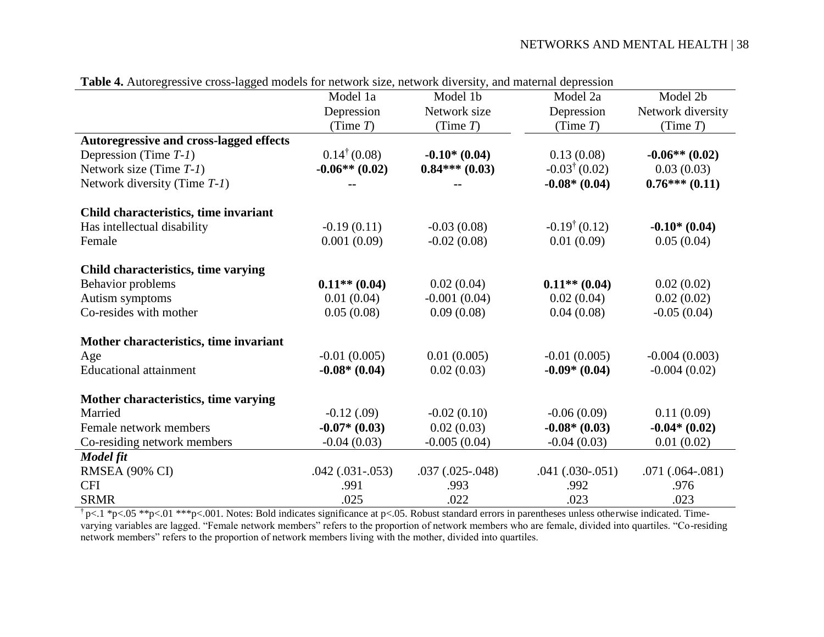## NETWORKS AND MENTAL HEALTH | 38

| <b>Table 4.</b> Autolegiessive cross-lagged models for hetwork size, hetwork diversity, and material depression |                         |                      |                         |                   |
|-----------------------------------------------------------------------------------------------------------------|-------------------------|----------------------|-------------------------|-------------------|
|                                                                                                                 | Model 1a                | Model 1b             | Model 2a                | Model 2b          |
|                                                                                                                 | Depression              | Network size         | Depression              | Network diversity |
|                                                                                                                 | (Time $T$ )             | (Time $T$ )          | (Time $T$ )             | (Time $T$ )       |
| Autoregressive and cross-lagged effects                                                                         |                         |                      |                         |                   |
| Depression (Time $T-1$ )                                                                                        | $0.14^{\dagger}$ (0.08) | $-0.10*(0.04)$       | 0.13(0.08)              | $-0.06**(0.02)$   |
| Network size (Time $T-1$ )                                                                                      | $-0.06**$ (0.02)        | $0.84***(0.03)$      | $-0.03^{\dagger}(0.02)$ | 0.03(0.03)        |
| Network diversity (Time T-1)                                                                                    |                         |                      | $-0.08*(0.04)$          | $0.76***(0.11)$   |
| Child characteristics, time invariant                                                                           |                         |                      |                         |                   |
| Has intellectual disability                                                                                     | $-0.19(0.11)$           | $-0.03(0.08)$        | $-0.19^{\dagger}(0.12)$ | $-0.10*(0.04)$    |
| Female                                                                                                          | 0.001(0.09)             | $-0.02(0.08)$        | 0.01(0.09)              | 0.05(0.04)        |
| Child characteristics, time varying                                                                             |                         |                      |                         |                   |
| Behavior problems                                                                                               | $0.11**$ (0.04)         | 0.02(0.04)           | $0.11**$ (0.04)         | 0.02(0.02)        |
| Autism symptoms                                                                                                 | 0.01(0.04)              | $-0.001(0.04)$       | 0.02(0.04)              | 0.02(0.02)        |
| Co-resides with mother                                                                                          | 0.05(0.08)              | 0.09(0.08)           | 0.04(0.08)              | $-0.05(0.04)$     |
| Mother characteristics, time invariant                                                                          |                         |                      |                         |                   |
| Age                                                                                                             | $-0.01(0.005)$          | 0.01(0.005)          | $-0.01(0.005)$          | $-0.004(0.003)$   |
| <b>Educational attainment</b>                                                                                   | $-0.08*(0.04)$          | 0.02(0.03)           | $-0.09*(0.04)$          | $-0.004(0.02)$    |
| Mother characteristics, time varying                                                                            |                         |                      |                         |                   |
| Married                                                                                                         | $-0.12$ (.09)           | $-0.02(0.10)$        | $-0.06(0.09)$           | 0.11(0.09)        |
| Female network members                                                                                          | $-0.07*(0.03)$          | 0.02(0.03)           | $-0.08*(0.03)$          | $-0.04*(0.02)$    |
| Co-residing network members                                                                                     | $-0.04(0.03)$           | $-0.005(0.04)$       | $-0.04(0.03)$           | 0.01(0.02)        |
| Model fit                                                                                                       |                         |                      |                         |                   |
| RMSEA (90% CI)                                                                                                  | $.042(.031-.053)$       | $.037$ $(.025-.048)$ | $.041(.030-.051)$       | $.071(.064-.081)$ |
| <b>CFI</b>                                                                                                      | .991                    | .993                 | .992                    | .976              |
| <b>SRMR</b>                                                                                                     | .025                    | .022                 | .023                    | .023              |

**Table 4.** Autoregressive cross-lagged models for network size, network diversity, and maternal depression

 $\uparrow$  p<.05 \*\*p<.01 \*\*\*p<.001. Notes: Bold indicates significance at p<.05. Robust standard errors in parentheses unless otherwise indicated. Timevarying variables are lagged. "Female network members" refers to the proportion of network members who are female, divided into quartiles. "Co-residing network members" refers to the proportion of network members living with the mother, divided into quartiles.